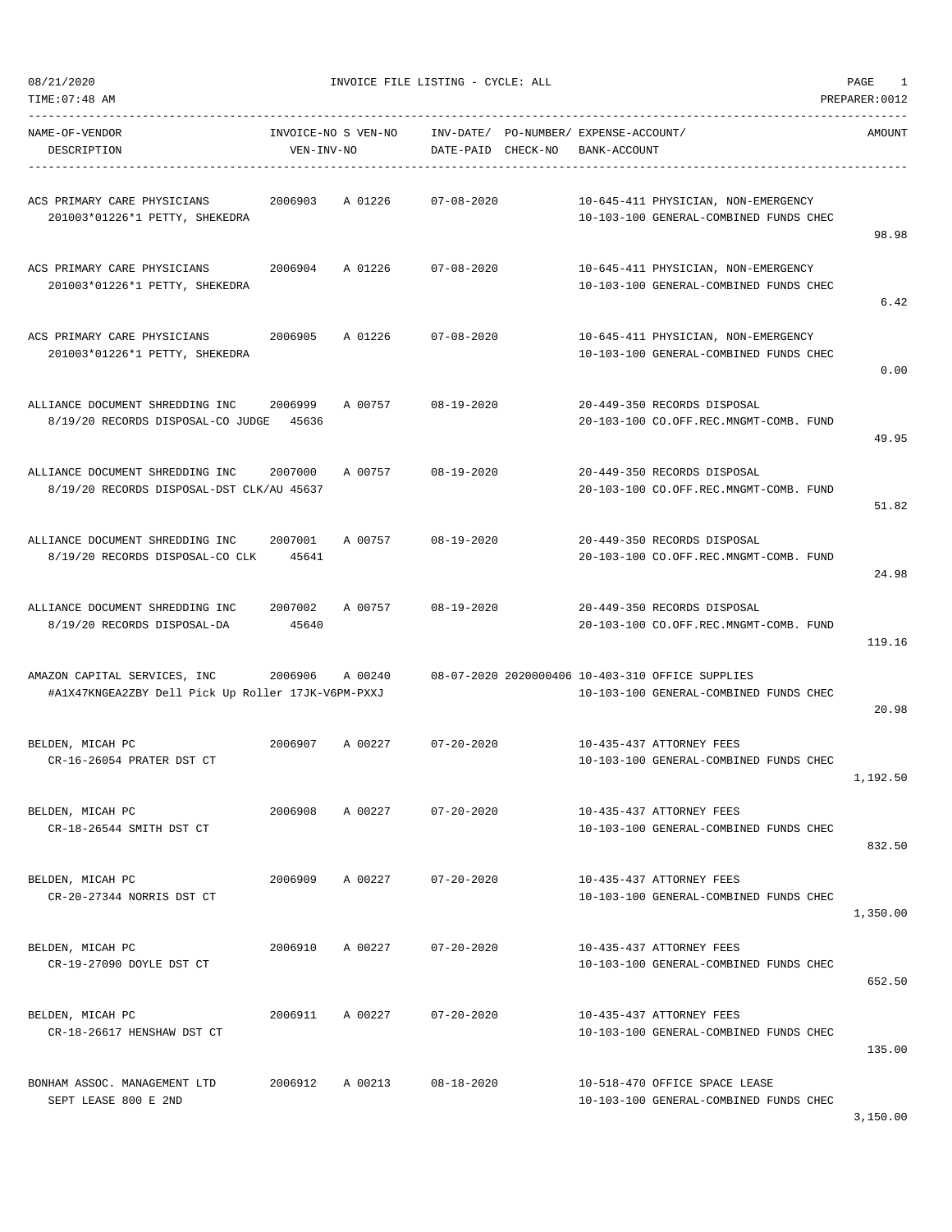| TIME: 07:48 AM                                                                             |                                   |         |                    |                                                       |                                                                                            | PREPARER: 0012 |
|--------------------------------------------------------------------------------------------|-----------------------------------|---------|--------------------|-------------------------------------------------------|--------------------------------------------------------------------------------------------|----------------|
| NAME-OF-VENDOR<br>DESCRIPTION                                                              | INVOICE-NO S VEN-NO<br>VEN-INV-NO |         | DATE-PAID CHECK-NO | INV-DATE/ PO-NUMBER/ EXPENSE-ACCOUNT/<br>BANK-ACCOUNT |                                                                                            | AMOUNT         |
| ACS PRIMARY CARE PHYSICIANS<br>201003*01226*1 PETTY, SHEKEDRA                              | 2006903                           | A 01226 | $07 - 08 - 2020$   |                                                       | 10-645-411 PHYSICIAN, NON-EMERGENCY<br>10-103-100 GENERAL-COMBINED FUNDS CHEC              | 98.98          |
| ACS PRIMARY CARE PHYSICIANS<br>201003*01226*1 PETTY, SHEKEDRA                              | 2006904                           | A 01226 | $07 - 08 - 2020$   |                                                       | 10-645-411 PHYSICIAN, NON-EMERGENCY<br>10-103-100 GENERAL-COMBINED FUNDS CHEC              | 6.42           |
| ACS PRIMARY CARE PHYSICIANS<br>201003*01226*1 PETTY, SHEKEDRA                              | 2006905                           | A 01226 | $07 - 08 - 2020$   |                                                       | 10-645-411 PHYSICIAN, NON-EMERGENCY<br>10-103-100 GENERAL-COMBINED FUNDS CHEC              | 0.00           |
| ALLIANCE DOCUMENT SHREDDING INC<br>8/19/20 RECORDS DISPOSAL-CO JUDGE                       | 2006999<br>45636                  | A 00757 | $08 - 19 - 2020$   |                                                       | 20-449-350 RECORDS DISPOSAL<br>20-103-100 CO.OFF.REC.MNGMT-COMB. FUND                      | 49.95          |
| ALLIANCE DOCUMENT SHREDDING INC<br>8/19/20 RECORDS DISPOSAL-DST CLK/AU 45637               | 2007000                           | A 00757 | $08 - 19 - 2020$   |                                                       | 20-449-350 RECORDS DISPOSAL<br>20-103-100 CO.OFF.REC.MNGMT-COMB. FUND                      | 51.82          |
| ALLIANCE DOCUMENT SHREDDING INC<br>8/19/20 RECORDS DISPOSAL-CO CLK                         | 2007001<br>45641                  | A 00757 | $08 - 19 - 2020$   |                                                       | 20-449-350 RECORDS DISPOSAL<br>20-103-100 CO.OFF.REC.MNGMT-COMB. FUND                      | 24.98          |
| ALLIANCE DOCUMENT SHREDDING INC<br>8/19/20 RECORDS DISPOSAL-DA                             | 2007002<br>45640                  | A 00757 | $08 - 19 - 2020$   |                                                       | 20-449-350 RECORDS DISPOSAL<br>20-103-100 CO.OFF.REC.MNGMT-COMB. FUND                      | 119.16         |
| AMAZON CAPITAL SERVICES, INC 2006906<br>#A1X47KNGEA2ZBY Dell Pick Up Roller 17JK-V6PM-PXXJ |                                   | A 00240 |                    |                                                       | 08-07-2020 2020000406 10-403-310 OFFICE SUPPLIES<br>10-103-100 GENERAL-COMBINED FUNDS CHEC | 20.98          |
| BELDEN, MICAH PC<br>CR-16-26054 PRATER DST CT                                              | 2006907                           | A 00227 | $07 - 20 - 2020$   |                                                       | 10-435-437 ATTORNEY FEES<br>10-103-100 GENERAL-COMBINED FUNDS CHEC                         | 1,192.50       |
| BELDEN, MICAH PC<br>CR-18-26544 SMITH DST CT                                               | 2006908                           | A 00227 | $07 - 20 - 2020$   |                                                       | 10-435-437 ATTORNEY FEES<br>10-103-100 GENERAL-COMBINED FUNDS CHEC                         | 832.50         |
| BELDEN, MICAH PC<br>CR-20-27344 NORRIS DST CT                                              | 2006909                           | A 00227 | $07 - 20 - 2020$   |                                                       | 10-435-437 ATTORNEY FEES<br>10-103-100 GENERAL-COMBINED FUNDS CHEC                         | 1,350.00       |
| BELDEN, MICAH PC<br>CR-19-27090 DOYLE DST CT                                               | 2006910                           | A 00227 | $07 - 20 - 2020$   |                                                       | 10-435-437 ATTORNEY FEES<br>10-103-100 GENERAL-COMBINED FUNDS CHEC                         | 652.50         |
| BELDEN, MICAH PC<br>CR-18-26617 HENSHAW DST CT                                             | 2006911                           | A 00227 | $07 - 20 - 2020$   |                                                       | 10-435-437 ATTORNEY FEES<br>10-103-100 GENERAL-COMBINED FUNDS CHEC                         | 135.00         |
| BONHAM ASSOC. MANAGEMENT LTD<br>SEPT LEASE 800 E 2ND                                       | 2006912                           | A 00213 | $08 - 18 - 2020$   |                                                       | 10-518-470 OFFICE SPACE LEASE<br>10-103-100 GENERAL-COMBINED FUNDS CHEC                    | 3,150.00       |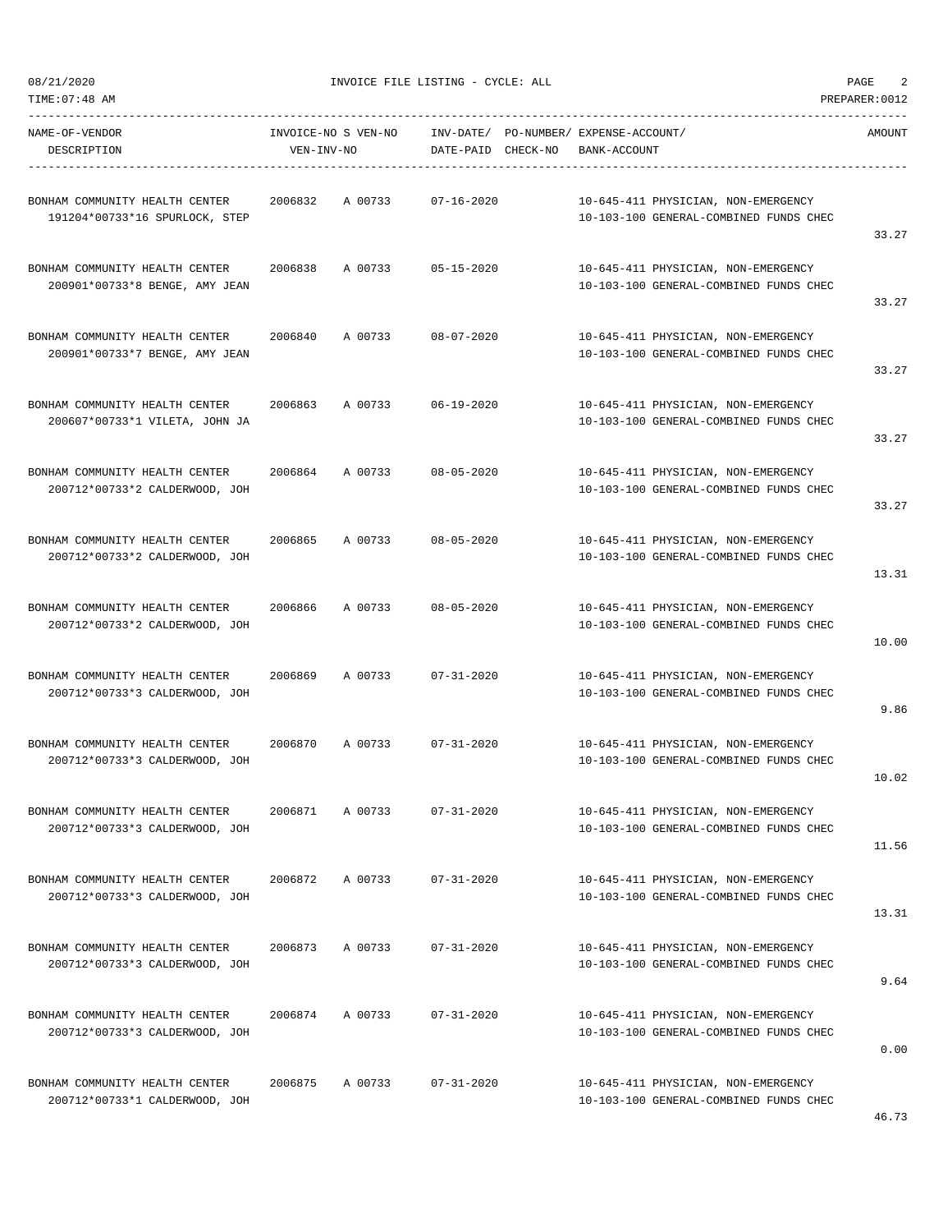TIME:07:48 AM PREPARER:0012

08/21/2020 INVOICE FILE LISTING - CYCLE: ALL PAGE 2

-----------------------------------------------------------------------------------------------------------------------------------

| NAME-OF-VENDOR<br>DESCRIPTION<br>----------------------------------- | VEN-INV-NO | INVOICE-NO S VEN-NO<br>----------------------- | DATE-PAID CHECK-NO | INV-DATE/ PO-NUMBER/ EXPENSE-ACCOUNT/<br>BANK-ACCOUNT                         | <b>AMOUNT</b> |
|----------------------------------------------------------------------|------------|------------------------------------------------|--------------------|-------------------------------------------------------------------------------|---------------|
| BONHAM COMMUNITY HEALTH CENTER<br>191204*00733*16 SPURLOCK, STEP     | 2006832    | A 00733                                        | $07 - 16 - 2020$   | 10-645-411 PHYSICIAN, NON-EMERGENCY<br>10-103-100 GENERAL-COMBINED FUNDS CHEC | 33.27         |
| BONHAM COMMUNITY HEALTH CENTER<br>200901*00733*8 BENGE, AMY JEAN     | 2006838    | A 00733                                        | $05 - 15 - 2020$   | 10-645-411 PHYSICIAN, NON-EMERGENCY<br>10-103-100 GENERAL-COMBINED FUNDS CHEC | 33.27         |
| BONHAM COMMUNITY HEALTH CENTER<br>200901*00733*7 BENGE, AMY JEAN     | 2006840    | A 00733                                        | $08 - 07 - 2020$   | 10-645-411 PHYSICIAN, NON-EMERGENCY<br>10-103-100 GENERAL-COMBINED FUNDS CHEC | 33.27         |
| BONHAM COMMUNITY HEALTH CENTER<br>200607*00733*1 VILETA, JOHN JA     | 2006863    | A 00733                                        | $06 - 19 - 2020$   | 10-645-411 PHYSICIAN, NON-EMERGENCY<br>10-103-100 GENERAL-COMBINED FUNDS CHEC | 33.27         |
| BONHAM COMMUNITY HEALTH CENTER<br>200712*00733*2 CALDERWOOD, JOH     | 2006864    | A 00733                                        | $08 - 05 - 2020$   | 10-645-411 PHYSICIAN, NON-EMERGENCY<br>10-103-100 GENERAL-COMBINED FUNDS CHEC | 33.27         |
| BONHAM COMMUNITY HEALTH CENTER<br>200712*00733*2 CALDERWOOD, JOH     | 2006865    | A 00733                                        | $08 - 05 - 2020$   | 10-645-411 PHYSICIAN, NON-EMERGENCY<br>10-103-100 GENERAL-COMBINED FUNDS CHEC | 13.31         |
| BONHAM COMMUNITY HEALTH CENTER<br>200712*00733*2 CALDERWOOD, JOH     | 2006866    | A 00733                                        | $08 - 05 - 2020$   | 10-645-411 PHYSICIAN, NON-EMERGENCY<br>10-103-100 GENERAL-COMBINED FUNDS CHEC | 10.00         |
| BONHAM COMMUNITY HEALTH CENTER<br>200712*00733*3 CALDERWOOD, JOH     | 2006869    | A 00733                                        | $07 - 31 - 2020$   | 10-645-411 PHYSICIAN, NON-EMERGENCY<br>10-103-100 GENERAL-COMBINED FUNDS CHEC | 9.86          |
| BONHAM COMMUNITY HEALTH CENTER<br>200712*00733*3 CALDERWOOD, JOH     | 2006870    | A 00733                                        | $07 - 31 - 2020$   | 10-645-411 PHYSICIAN, NON-EMERGENCY<br>10-103-100 GENERAL-COMBINED FUNDS CHEC | 10.02         |
| BONHAM COMMUNITY HEALTH CENTER<br>200712*00733*3 CALDERWOOD, JOH     | 2006871    | A 00733                                        | $07 - 31 - 2020$   | 10-645-411 PHYSICIAN, NON-EMERGENCY<br>10-103-100 GENERAL-COMBINED FUNDS CHEC | 11.56         |
| BONHAM COMMUNITY HEALTH CENTER<br>200712*00733*3 CALDERWOOD, JOH     | 2006872    | A 00733                                        | $07 - 31 - 2020$   | 10-645-411 PHYSICIAN, NON-EMERGENCY<br>10-103-100 GENERAL-COMBINED FUNDS CHEC | 13.31         |
| BONHAM COMMUNITY HEALTH CENTER<br>200712*00733*3 CALDERWOOD, JOH     | 2006873    | A 00733                                        | $07 - 31 - 2020$   | 10-645-411 PHYSICIAN, NON-EMERGENCY<br>10-103-100 GENERAL-COMBINED FUNDS CHEC | 9.64          |
| BONHAM COMMUNITY HEALTH CENTER<br>200712*00733*3 CALDERWOOD, JOH     | 2006874    | A 00733                                        | $07 - 31 - 2020$   | 10-645-411 PHYSICIAN, NON-EMERGENCY<br>10-103-100 GENERAL-COMBINED FUNDS CHEC | 0.00          |
| BONHAM COMMUNITY HEALTH CENTER<br>200712*00733*1 CALDERWOOD, JOH     | 2006875    | A 00733                                        | $07 - 31 - 2020$   | 10-645-411 PHYSICIAN, NON-EMERGENCY<br>10-103-100 GENERAL-COMBINED FUNDS CHEC | 16.72         |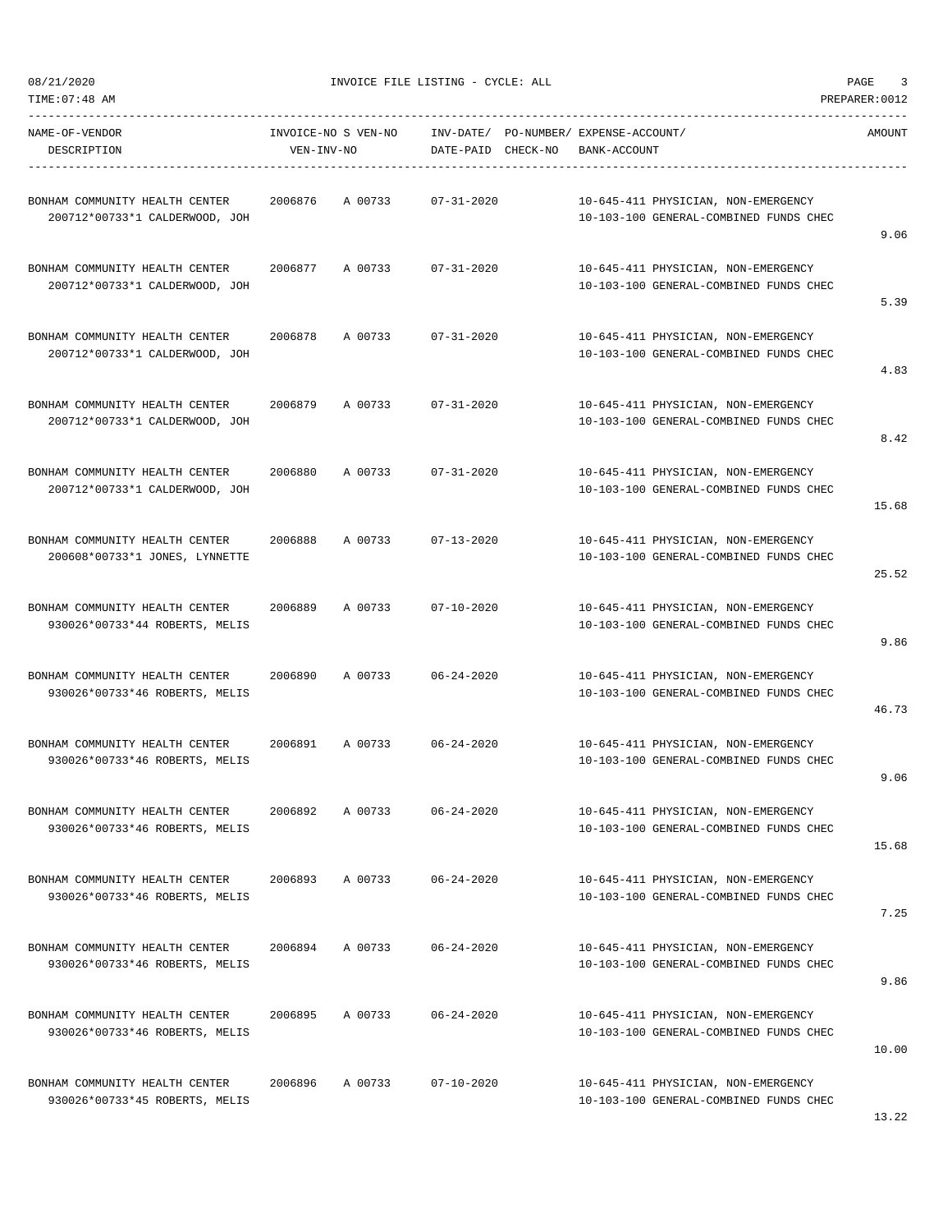TIME:07:48 AM PREPARER:0012

08/21/2020 INVOICE FILE LISTING - CYCLE: ALL PAGE 3

-----------------------------------------------------------------------------------------------------------------------------------

| NAME-OF-VENDOR<br>DESCRIPTION                                    | INVOICE-NO S VEN-NO<br>VEN-INV-NO |         |                  |  | DATE-PAID CHECK-NO                                                            |       |  |  | INV-DATE/ PO-NUMBER/ EXPENSE-ACCOUNT/<br>BANK-ACCOUNT<br>10-645-411 PHYSICIAN, NON-EMERGENCY<br>10-103-100 GENERAL-COMBINED FUNDS CHEC<br>10-645-411 PHYSICIAN, NON-EMERGENCY<br>10-103-100 GENERAL-COMBINED FUNDS CHEC<br>10-645-411 PHYSICIAN, NON-EMERGENCY | AMOUNT |
|------------------------------------------------------------------|-----------------------------------|---------|------------------|--|-------------------------------------------------------------------------------|-------|--|--|----------------------------------------------------------------------------------------------------------------------------------------------------------------------------------------------------------------------------------------------------------------|--------|
| BONHAM COMMUNITY HEALTH CENTER<br>200712*00733*1 CALDERWOOD, JOH | 2006876                           | A 00733 | $07 - 31 - 2020$ |  |                                                                               | 9.06  |  |  |                                                                                                                                                                                                                                                                |        |
| BONHAM COMMUNITY HEALTH CENTER<br>200712*00733*1 CALDERWOOD, JOH | 2006877                           | A 00733 | $07 - 31 - 2020$ |  |                                                                               | 5.39  |  |  |                                                                                                                                                                                                                                                                |        |
| BONHAM COMMUNITY HEALTH CENTER<br>200712*00733*1 CALDERWOOD, JOH | 2006878                           | A 00733 | $07 - 31 - 2020$ |  | 10-103-100 GENERAL-COMBINED FUNDS CHEC                                        | 4.83  |  |  |                                                                                                                                                                                                                                                                |        |
| BONHAM COMMUNITY HEALTH CENTER<br>200712*00733*1 CALDERWOOD, JOH | 2006879                           | A 00733 | $07 - 31 - 2020$ |  | 10-645-411 PHYSICIAN, NON-EMERGENCY<br>10-103-100 GENERAL-COMBINED FUNDS CHEC | 8.42  |  |  |                                                                                                                                                                                                                                                                |        |
| BONHAM COMMUNITY HEALTH CENTER<br>200712*00733*1 CALDERWOOD, JOH | 2006880                           | A 00733 | $07 - 31 - 2020$ |  | 10-645-411 PHYSICIAN, NON-EMERGENCY<br>10-103-100 GENERAL-COMBINED FUNDS CHEC | 15.68 |  |  |                                                                                                                                                                                                                                                                |        |
| BONHAM COMMUNITY HEALTH CENTER<br>200608*00733*1 JONES, LYNNETTE | 2006888                           | A 00733 | $07 - 13 - 2020$ |  | 10-645-411 PHYSICIAN, NON-EMERGENCY<br>10-103-100 GENERAL-COMBINED FUNDS CHEC | 25.52 |  |  |                                                                                                                                                                                                                                                                |        |
| BONHAM COMMUNITY HEALTH CENTER<br>930026*00733*44 ROBERTS, MELIS | 2006889                           | A 00733 | $07 - 10 - 2020$ |  | 10-645-411 PHYSICIAN, NON-EMERGENCY<br>10-103-100 GENERAL-COMBINED FUNDS CHEC | 9.86  |  |  |                                                                                                                                                                                                                                                                |        |
| BONHAM COMMUNITY HEALTH CENTER<br>930026*00733*46 ROBERTS, MELIS | 2006890                           | A 00733 | $06 - 24 - 2020$ |  | 10-645-411 PHYSICIAN, NON-EMERGENCY<br>10-103-100 GENERAL-COMBINED FUNDS CHEC | 46.73 |  |  |                                                                                                                                                                                                                                                                |        |
| BONHAM COMMUNITY HEALTH CENTER<br>930026*00733*46 ROBERTS, MELIS | 2006891                           | A 00733 | $06 - 24 - 2020$ |  | 10-645-411 PHYSICIAN, NON-EMERGENCY<br>10-103-100 GENERAL-COMBINED FUNDS CHEC | 9.06  |  |  |                                                                                                                                                                                                                                                                |        |
| BONHAM COMMUNITY HEALTH CENTER<br>930026*00733*46 ROBERTS, MELIS | 2006892                           | A 00733 | $06 - 24 - 2020$ |  | 10-645-411 PHYSICIAN, NON-EMERGENCY<br>10-103-100 GENERAL-COMBINED FUNDS CHEC | 15.68 |  |  |                                                                                                                                                                                                                                                                |        |
| BONHAM COMMUNITY HEALTH CENTER<br>930026*00733*46 ROBERTS, MELIS | 2006893                           | A 00733 | $06 - 24 - 2020$ |  | 10-645-411 PHYSICIAN, NON-EMERGENCY<br>10-103-100 GENERAL-COMBINED FUNDS CHEC | 7.25  |  |  |                                                                                                                                                                                                                                                                |        |
| BONHAM COMMUNITY HEALTH CENTER<br>930026*00733*46 ROBERTS, MELIS | 2006894                           | A 00733 | $06 - 24 - 2020$ |  | 10-645-411 PHYSICIAN, NON-EMERGENCY<br>10-103-100 GENERAL-COMBINED FUNDS CHEC | 9.86  |  |  |                                                                                                                                                                                                                                                                |        |
| BONHAM COMMUNITY HEALTH CENTER<br>930026*00733*46 ROBERTS, MELIS | 2006895                           | A 00733 | $06 - 24 - 2020$ |  | 10-645-411 PHYSICIAN, NON-EMERGENCY<br>10-103-100 GENERAL-COMBINED FUNDS CHEC | 10.00 |  |  |                                                                                                                                                                                                                                                                |        |
| BONHAM COMMUNITY HEALTH CENTER<br>930026*00733*45 ROBERTS, MELIS | 2006896                           | A 00733 | $07 - 10 - 2020$ |  | 10-645-411 PHYSICIAN, NON-EMERGENCY<br>10-103-100 GENERAL-COMBINED FUNDS CHEC | 13.22 |  |  |                                                                                                                                                                                                                                                                |        |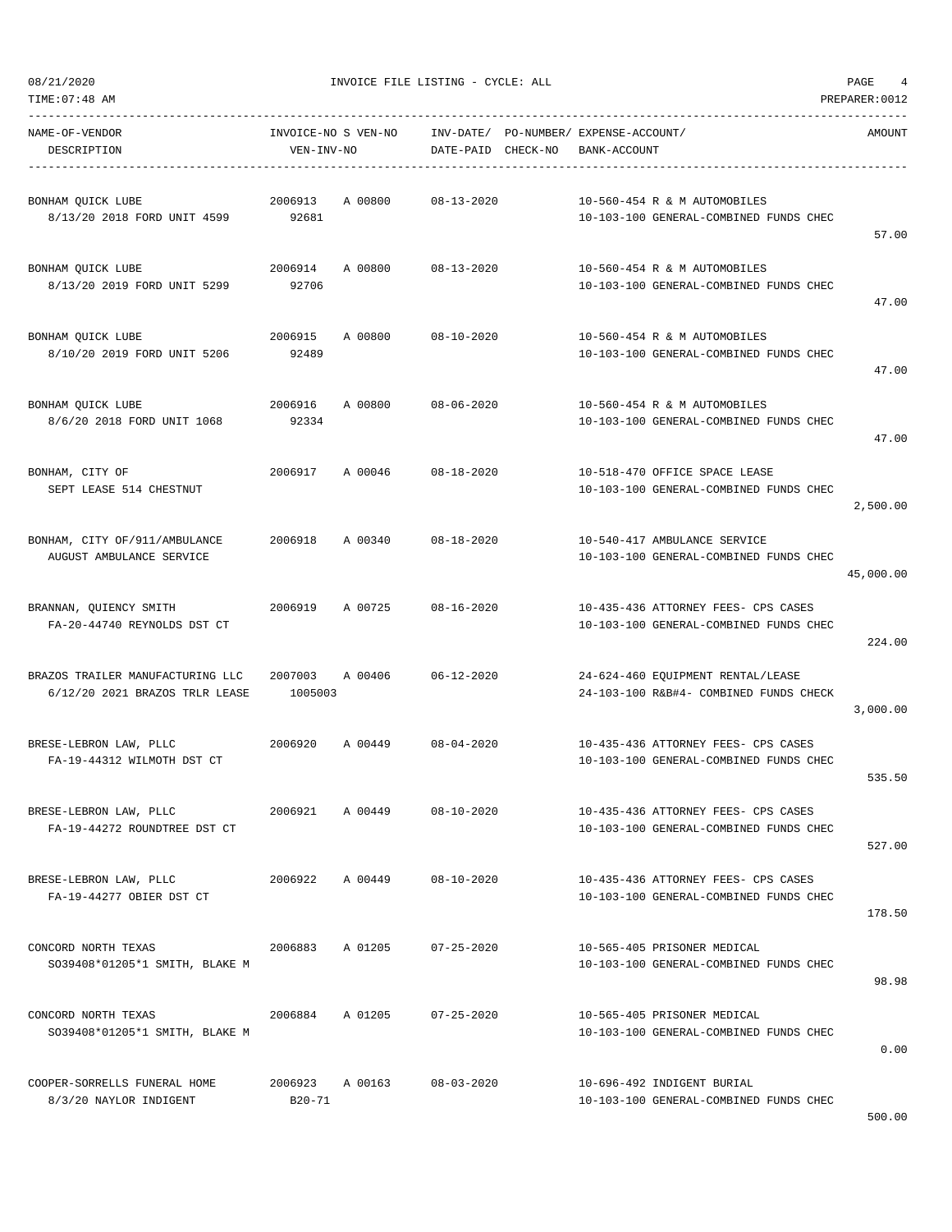| NAME-OF-VENDOR<br>DESCRIPTION                                      | VEN-INV-NO                    | INVOICE-NO S VEN-NO     INV-DATE/ PO-NUMBER/ EXPENSE-ACCOUNT/<br>DATE-PAID CHECK-NO | BANK-ACCOUNT                                                                  | AMOUNT    |
|--------------------------------------------------------------------|-------------------------------|-------------------------------------------------------------------------------------|-------------------------------------------------------------------------------|-----------|
| BONHAM QUICK LUBE<br>8/13/20 2018 FORD UNIT 4599 92681             | 2006913 A 00800               | $08 - 13 - 2020$                                                                    | 10-560-454 R & M AUTOMOBILES<br>10-103-100 GENERAL-COMBINED FUNDS CHEC        | 57.00     |
| BONHAM QUICK LUBE<br>8/13/20 2019 FORD UNIT 5299                   | 2006914 A 00800<br>92706      | 08-13-2020                                                                          | 10-560-454 R & M AUTOMOBILES<br>10-103-100 GENERAL-COMBINED FUNDS CHEC        | 47.00     |
| BONHAM QUICK LUBE<br>8/10/20 2019 FORD UNIT 5206                   | 2006915<br>A 00800<br>92489   | $08 - 10 - 2020$                                                                    | 10-560-454 R & M AUTOMOBILES<br>10-103-100 GENERAL-COMBINED FUNDS CHEC        | 47.00     |
| BONHAM QUICK LUBE<br>8/6/20 2018 FORD UNIT 1068                    | 2006916<br>A 00800<br>92334   | $08 - 06 - 2020$                                                                    | 10-560-454 R & M AUTOMOBILES<br>10-103-100 GENERAL-COMBINED FUNDS CHEC        | 47.00     |
| BONHAM, CITY OF<br>SEPT LEASE 514 CHESTNUT                         | 2006917 A 00046 08-18-2020    |                                                                                     | 10-518-470 OFFICE SPACE LEASE<br>10-103-100 GENERAL-COMBINED FUNDS CHEC       | 2,500.00  |
| BONHAM, CITY OF/911/AMBULANCE<br>AUGUST AMBULANCE SERVICE          | 2006918 A 00340 08-18-2020    |                                                                                     | 10-540-417 AMBULANCE SERVICE<br>10-103-100 GENERAL-COMBINED FUNDS CHEC        | 45,000.00 |
| BRANNAN, QUIENCY SMITH<br>FA-20-44740 REYNOLDS DST CT              | 2006919 A 00725 08-16-2020    |                                                                                     | 10-435-436 ATTORNEY FEES- CPS CASES<br>10-103-100 GENERAL-COMBINED FUNDS CHEC | 224.00    |
| BRAZOS TRAILER MANUFACTURING LLC<br>6/12/20 2021 BRAZOS TRLR LEASE | 2007003<br>A 00406<br>1005003 | $06 - 12 - 2020$                                                                    | 24-624-460 EQUIPMENT RENTAL/LEASE<br>24-103-100 R&B#4- COMBINED FUNDS CHECK   | 3,000.00  |
| BRESE-LEBRON LAW, PLLC<br>FA-19-44312 WILMOTH DST CT               | 2006920 A 00449 08-04-2020    |                                                                                     | 10-435-436 ATTORNEY FEES- CPS CASES<br>10-103-100 GENERAL-COMBINED FUNDS CHEC | 535.50    |
| BRESE-LEBRON LAW, PLLC<br>FA-19-44272 ROUNDTREE DST CT             | 2006921 A 00449               | 08-10-2020                                                                          | 10-435-436 ATTORNEY FEES- CPS CASES<br>10-103-100 GENERAL-COMBINED FUNDS CHEC | 527.00    |
| BRESE-LEBRON LAW, PLLC<br>FA-19-44277 OBIER DST CT                 | 2006922 A 00449 08-10-2020    |                                                                                     | 10-435-436 ATTORNEY FEES- CPS CASES<br>10-103-100 GENERAL-COMBINED FUNDS CHEC | 178.50    |
| CONCORD NORTH TEXAS<br>SO39408*01205*1 SMITH, BLAKE M              | 2006883 A 01205               | $07 - 25 - 2020$                                                                    | 10-565-405 PRISONER MEDICAL<br>10-103-100 GENERAL-COMBINED FUNDS CHEC         | 98.98     |
| CONCORD NORTH TEXAS<br>SO39408*01205*1 SMITH, BLAKE M              | 2006884 A 01205               | $07 - 25 - 2020$                                                                    | 10-565-405 PRISONER MEDICAL<br>10-103-100 GENERAL-COMBINED FUNDS CHEC         | 0.00      |
| COOPER-SORRELLS FUNERAL HOME<br>8/3/20 NAYLOR INDIGENT             | 2006923 A 00163<br>B20-71     | $08 - 03 - 2020$                                                                    | 10-696-492 INDIGENT BURIAL<br>10-103-100 GENERAL-COMBINED FUNDS CHEC          | 500.00    |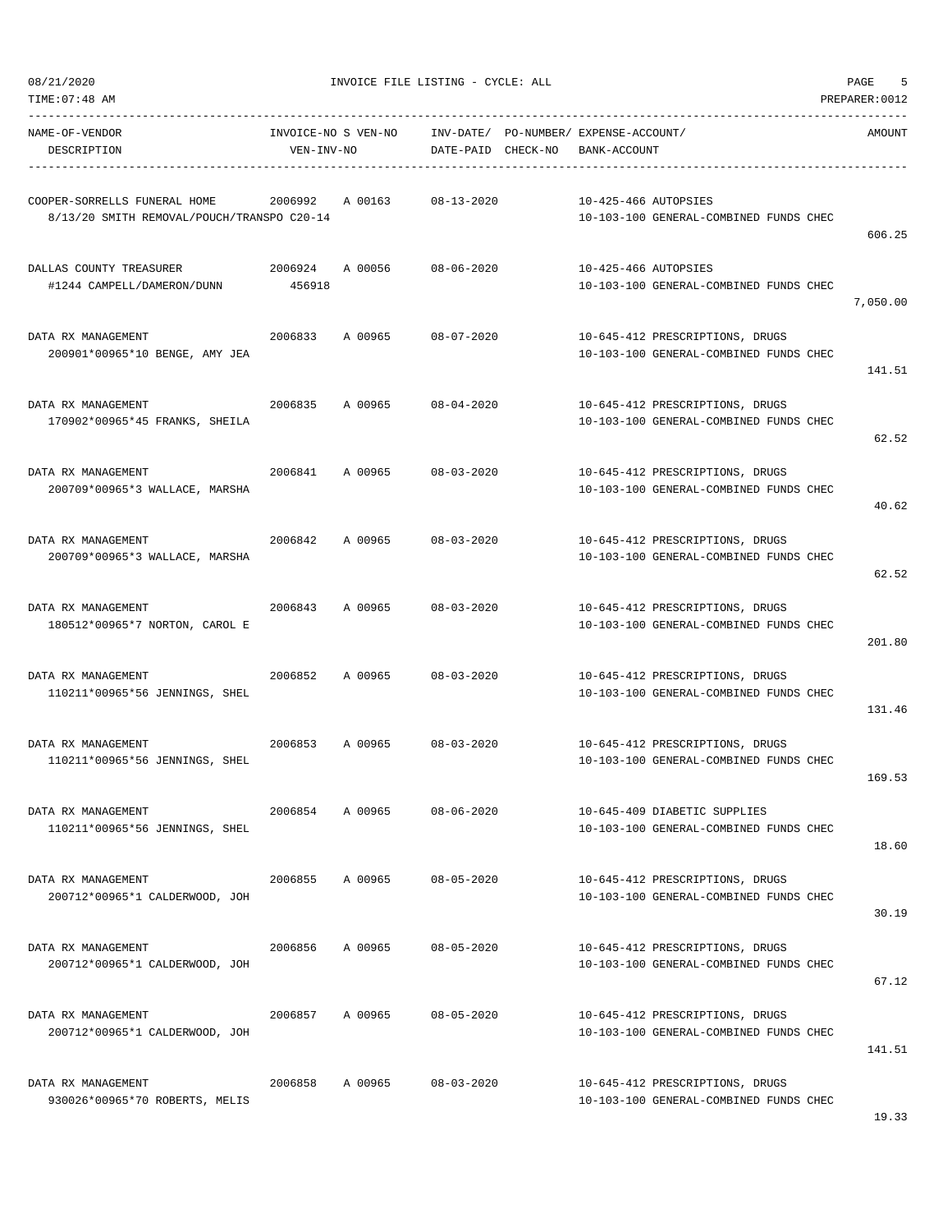|  | 08/21/2020 |  |
|--|------------|--|
|  |            |  |

| NAME-OF-VENDOR<br>DESCRIPTION                                              | VEN-INV-NO | INVOICE-NO S VEN-NO    INV-DATE/ PO-NUMBER/ EXPENSE-ACCOUNT/ | DATE-PAID CHECK-NO | BANK-ACCOUNT         |                                                                           | AMOUNT   |
|----------------------------------------------------------------------------|------------|--------------------------------------------------------------|--------------------|----------------------|---------------------------------------------------------------------------|----------|
| COOPER-SORRELLS FUNERAL HOME<br>8/13/20 SMITH REMOVAL/POUCH/TRANSPO C20-14 |            | 2006992 A 00163 08-13-2020                                   |                    | 10-425-466 AUTOPSIES | 10-103-100 GENERAL-COMBINED FUNDS CHEC                                    | 606.25   |
| DALLAS COUNTY TREASURER<br>#1244 CAMPELL/DAMERON/DUNN                      | 456918     | 2006924 A 00056                                              | 08-06-2020         | 10-425-466 AUTOPSIES | 10-103-100 GENERAL-COMBINED FUNDS CHEC                                    | 7,050.00 |
| DATA RX MANAGEMENT<br>200901*00965*10 BENGE, AMY JEA                       | 2006833    | A 00965 08-07-2020                                           |                    |                      | 10-645-412 PRESCRIPTIONS, DRUGS<br>10-103-100 GENERAL-COMBINED FUNDS CHEC | 141.51   |
| DATA RX MANAGEMENT<br>170902*00965*45 FRANKS, SHEILA                       | 2006835    | A 00965 08-04-2020                                           |                    |                      | 10-645-412 PRESCRIPTIONS, DRUGS<br>10-103-100 GENERAL-COMBINED FUNDS CHEC | 62.52    |
| DATA RX MANAGEMENT<br>200709*00965*3 WALLACE, MARSHA                       |            | 2006841 A00965 08-03-2020                                    |                    |                      | 10-645-412 PRESCRIPTIONS, DRUGS<br>10-103-100 GENERAL-COMBINED FUNDS CHEC | 40.62    |
| DATA RX MANAGEMENT<br>200709*00965*3 WALLACE, MARSHA                       |            | 2006842 A00965 08-03-2020                                    |                    |                      | 10-645-412 PRESCRIPTIONS, DRUGS<br>10-103-100 GENERAL-COMBINED FUNDS CHEC | 62.52    |
| DATA RX MANAGEMENT<br>180512*00965*7 NORTON, CAROL E                       |            | 2006843 A 00965 08-03-2020                                   |                    |                      | 10-645-412 PRESCRIPTIONS, DRUGS<br>10-103-100 GENERAL-COMBINED FUNDS CHEC | 201.80   |
| DATA RX MANAGEMENT<br>110211*00965*56 JENNINGS, SHEL                       |            | 2006852 A 00965 08-03-2020                                   |                    |                      | 10-645-412 PRESCRIPTIONS, DRUGS<br>10-103-100 GENERAL-COMBINED FUNDS CHEC | 131.46   |
| DATA RX MANAGEMENT<br>110211*00965*56 JENNINGS, SHEL                       |            | 2006853 A 00965 08-03-2020                                   |                    |                      | 10-645-412 PRESCRIPTIONS, DRUGS<br>10-103-100 GENERAL-COMBINED FUNDS CHEC | 169.53   |
| DATA RX MANAGEMENT<br>110211*00965*56 JENNINGS, SHEL                       | 2006854    | A 00965                                                      | $08 - 06 - 2020$   |                      | 10-645-409 DIABETIC SUPPLIES<br>10-103-100 GENERAL-COMBINED FUNDS CHEC    | 18.60    |
| DATA RX MANAGEMENT<br>200712*00965*1 CALDERWOOD, JOH                       | 2006855    | A 00965 08-05-2020                                           |                    |                      | 10-645-412 PRESCRIPTIONS, DRUGS<br>10-103-100 GENERAL-COMBINED FUNDS CHEC | 30.19    |
| DATA RX MANAGEMENT<br>200712*00965*1 CALDERWOOD, JOH                       | 2006856    | A 00965                                                      | $08 - 05 - 2020$   |                      | 10-645-412 PRESCRIPTIONS, DRUGS<br>10-103-100 GENERAL-COMBINED FUNDS CHEC | 67.12    |
| DATA RX MANAGEMENT<br>200712*00965*1 CALDERWOOD, JOH                       | 2006857    | A 00965                                                      | $08 - 05 - 2020$   |                      | 10-645-412 PRESCRIPTIONS, DRUGS<br>10-103-100 GENERAL-COMBINED FUNDS CHEC | 141.51   |
| DATA RX MANAGEMENT<br>930026*00965*70 ROBERTS, MELIS                       | 2006858    | A 00965 08-03-2020                                           |                    |                      | 10-645-412 PRESCRIPTIONS, DRUGS<br>10-103-100 GENERAL-COMBINED FUNDS CHEC |          |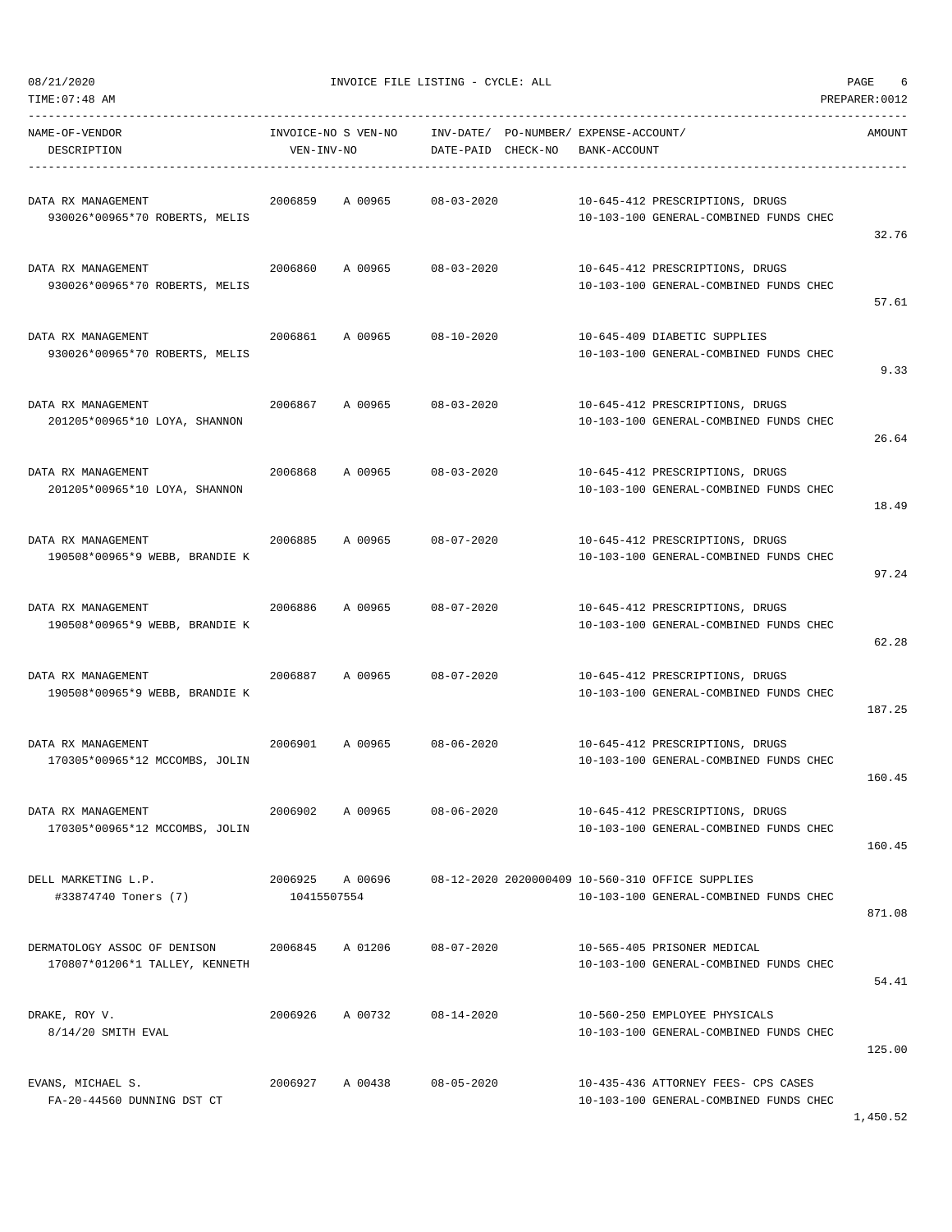| TIME: 07:48 AM                                                 |                                   |         |                    |                                                       |                                                                                            | PREPARER: 0012 |
|----------------------------------------------------------------|-----------------------------------|---------|--------------------|-------------------------------------------------------|--------------------------------------------------------------------------------------------|----------------|
| NAME-OF-VENDOR<br>DESCRIPTION                                  | INVOICE-NO S VEN-NO<br>VEN-INV-NO |         | DATE-PAID CHECK-NO | INV-DATE/ PO-NUMBER/ EXPENSE-ACCOUNT/<br>BANK-ACCOUNT |                                                                                            | AMOUNT         |
| DATA RX MANAGEMENT<br>930026*00965*70 ROBERTS, MELIS           | 2006859                           | A 00965 | $08 - 03 - 2020$   |                                                       | 10-645-412 PRESCRIPTIONS, DRUGS<br>10-103-100 GENERAL-COMBINED FUNDS CHEC                  | 32.76          |
| DATA RX MANAGEMENT<br>930026*00965*70 ROBERTS, MELIS           | 2006860                           | A 00965 | $08 - 03 - 2020$   |                                                       | 10-645-412 PRESCRIPTIONS, DRUGS<br>10-103-100 GENERAL-COMBINED FUNDS CHEC                  | 57.61          |
| DATA RX MANAGEMENT<br>930026*00965*70 ROBERTS, MELIS           | 2006861                           | A 00965 | $08 - 10 - 2020$   |                                                       | 10-645-409 DIABETIC SUPPLIES<br>10-103-100 GENERAL-COMBINED FUNDS CHEC                     | 9.33           |
| DATA RX MANAGEMENT<br>201205*00965*10 LOYA, SHANNON            | 2006867                           | A 00965 | $08 - 03 - 2020$   |                                                       | 10-645-412 PRESCRIPTIONS, DRUGS<br>10-103-100 GENERAL-COMBINED FUNDS CHEC                  | 26.64          |
| DATA RX MANAGEMENT<br>201205*00965*10 LOYA, SHANNON            | 2006868                           | A 00965 | $08 - 03 - 2020$   |                                                       | 10-645-412 PRESCRIPTIONS, DRUGS<br>10-103-100 GENERAL-COMBINED FUNDS CHEC                  | 18.49          |
| DATA RX MANAGEMENT<br>190508*00965*9 WEBB, BRANDIE K           | 2006885                           | A 00965 | $08 - 07 - 2020$   |                                                       | 10-645-412 PRESCRIPTIONS, DRUGS<br>10-103-100 GENERAL-COMBINED FUNDS CHEC                  | 97.24          |
| DATA RX MANAGEMENT<br>190508*00965*9 WEBB, BRANDIE K           | 2006886                           | A 00965 | $08 - 07 - 2020$   |                                                       | 10-645-412 PRESCRIPTIONS, DRUGS<br>10-103-100 GENERAL-COMBINED FUNDS CHEC                  | 62.28          |
| DATA RX MANAGEMENT<br>190508*00965*9 WEBB, BRANDIE K           | 2006887                           | A 00965 | $08 - 07 - 2020$   |                                                       | 10-645-412 PRESCRIPTIONS, DRUGS<br>10-103-100 GENERAL-COMBINED FUNDS CHEC                  | 187.25         |
| DATA RX MANAGEMENT<br>170305*00965*12 MCCOMBS, JOLIN           | 2006901                           | A 00965 | $08 - 06 - 2020$   |                                                       | 10-645-412 PRESCRIPTIONS, DRUGS<br>10-103-100 GENERAL-COMBINED FUNDS CHEC                  | 160.45         |
| DATA RX MANAGEMENT<br>170305*00965*12 MCCOMBS, JOLIN           | 2006902                           | A 00965 | $08 - 06 - 2020$   |                                                       | 10-645-412 PRESCRIPTIONS, DRUGS<br>10-103-100 GENERAL-COMBINED FUNDS CHEC                  | 160.45         |
| DELL MARKETING L.P.<br>#33874740 Toners (7)                    | 2006925<br>10415507554            | A 00696 |                    |                                                       | 08-12-2020 2020000409 10-560-310 OFFICE SUPPLIES<br>10-103-100 GENERAL-COMBINED FUNDS CHEC | 871.08         |
| DERMATOLOGY ASSOC OF DENISON<br>170807*01206*1 TALLEY, KENNETH | 2006845                           | A 01206 | $08 - 07 - 2020$   |                                                       | 10-565-405 PRISONER MEDICAL<br>10-103-100 GENERAL-COMBINED FUNDS CHEC                      | 54.41          |
| DRAKE, ROY V.<br>8/14/20 SMITH EVAL                            | 2006926                           | A 00732 | $08 - 14 - 2020$   |                                                       | 10-560-250 EMPLOYEE PHYSICALS<br>10-103-100 GENERAL-COMBINED FUNDS CHEC                    | 125.00         |
| EVANS, MICHAEL S.<br>FA-20-44560 DUNNING DST CT                | 2006927                           | A 00438 | $08 - 05 - 2020$   |                                                       | 10-435-436 ATTORNEY FEES- CPS CASES<br>10-103-100 GENERAL-COMBINED FUNDS CHEC              |                |

1,450.52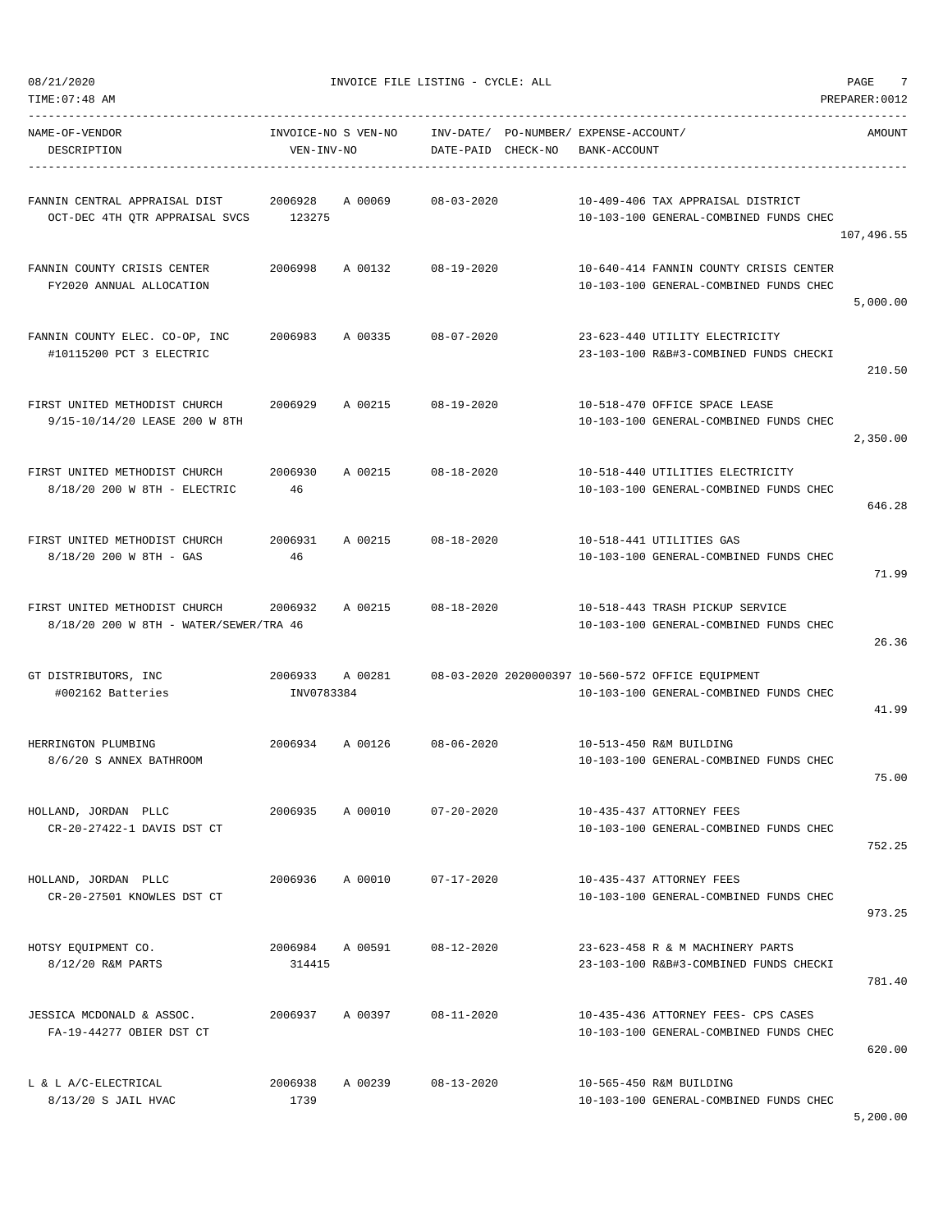| NAME-OF-VENDOR<br>DESCRIPTION                                           | INVOICE-NO S VEN-NO<br>VEN-INV-NO |         | INV-DATE/ PO-NUMBER/ EXPENSE-ACCOUNT/<br>DATE-PAID CHECK-NO | BANK-ACCOUNT |                                                                                             | AMOUNT     |
|-------------------------------------------------------------------------|-----------------------------------|---------|-------------------------------------------------------------|--------------|---------------------------------------------------------------------------------------------|------------|
| FANNIN CENTRAL APPRAISAL DIST<br>OCT-DEC 4TH OTR APPRAISAL SVCS         | 2006928<br>123275                 | A 00069 | $08 - 03 - 2020$                                            |              | 10-409-406 TAX APPRAISAL DISTRICT<br>10-103-100 GENERAL-COMBINED FUNDS CHEC                 | 107,496.55 |
| FANNIN COUNTY CRISIS CENTER<br>FY2020 ANNUAL ALLOCATION                 |                                   |         | 2006998 A 00132 08-19-2020                                  |              | 10-640-414 FANNIN COUNTY CRISIS CENTER<br>10-103-100 GENERAL-COMBINED FUNDS CHEC            | 5,000.00   |
| FANNIN COUNTY ELEC. CO-OP, INC<br>#10115200 PCT 3 ELECTRIC              | 2006983                           | A 00335 | $08 - 07 - 2020$                                            |              | 23-623-440 UTILITY ELECTRICITY<br>23-103-100 R&B#3-COMBINED FUNDS CHECKI                    | 210.50     |
| FIRST UNITED METHODIST CHURCH<br>9/15-10/14/20 LEASE 200 W 8TH          | 2006929                           | A 00215 | 08-19-2020                                                  |              | 10-518-470 OFFICE SPACE LEASE<br>10-103-100 GENERAL-COMBINED FUNDS CHEC                     | 2,350.00   |
| FIRST UNITED METHODIST CHURCH<br>8/18/20 200 W 8TH - ELECTRIC           | 2006930<br>46                     | A 00215 | 08-18-2020                                                  |              | 10-518-440 UTILITIES ELECTRICITY<br>10-103-100 GENERAL-COMBINED FUNDS CHEC                  | 646.28     |
| FIRST UNITED METHODIST CHURCH<br>8/18/20 200 W 8TH - GAS                | 2006931<br>46                     | A 00215 | $08 - 18 - 2020$                                            |              | 10-518-441 UTILITIES GAS<br>10-103-100 GENERAL-COMBINED FUNDS CHEC                          | 71.99      |
| FIRST UNITED METHODIST CHURCH<br>8/18/20 200 W 8TH - WATER/SEWER/TRA 46 | 2006932                           | A 00215 | $08 - 18 - 2020$                                            |              | 10-518-443 TRASH PICKUP SERVICE<br>10-103-100 GENERAL-COMBINED FUNDS CHEC                   | 26.36      |
| GT DISTRIBUTORS, INC<br>#002162 Batteries                               | 2006933 A 00281<br>INV0783384     |         |                                                             |              | 08-03-2020 2020000397 10-560-572 OFFICE EQUIPMENT<br>10-103-100 GENERAL-COMBINED FUNDS CHEC | 41.99      |
| HERRINGTON PLUMBING<br>8/6/20 S ANNEX BATHROOM                          |                                   |         | 2006934 A 00126 08-06-2020                                  |              | 10-513-450 R&M BUILDING<br>10-103-100 GENERAL-COMBINED FUNDS CHEC                           | 75.00      |
| HOLLAND, JORDAN PLLC<br>CR-20-27422-1 DAVIS DST CT                      | 2006935                           | A 00010 | $07 - 20 - 2020$                                            |              | 10-435-437 ATTORNEY FEES<br>10-103-100 GENERAL-COMBINED FUNDS CHEC                          | 752.25     |
| HOLLAND, JORDAN PLLC<br>CR-20-27501 KNOWLES DST CT                      | 2006936                           | A 00010 | $07 - 17 - 2020$                                            |              | 10-435-437 ATTORNEY FEES<br>10-103-100 GENERAL-COMBINED FUNDS CHEC                          | 973.25     |
| HOTSY EOUIPMENT CO.<br>8/12/20 R&M PARTS                                | 2006984 A 00591<br>314415         |         | $08 - 12 - 2020$                                            |              | 23-623-458 R & M MACHINERY PARTS<br>23-103-100 R&B#3-COMBINED FUNDS CHECKI                  | 781.40     |
| JESSICA MCDONALD & ASSOC.<br>FA-19-44277 OBIER DST CT                   | 2006937                           | A 00397 | $08 - 11 - 2020$                                            |              | 10-435-436 ATTORNEY FEES- CPS CASES<br>10-103-100 GENERAL-COMBINED FUNDS CHEC               | 620.00     |
| L & L A/C-ELECTRICAL<br>8/13/20 S JAIL HVAC                             | 2006938<br>1739                   | A 00239 | $08 - 13 - 2020$                                            |              | 10-565-450 R&M BUILDING<br>10-103-100 GENERAL-COMBINED FUNDS CHEC                           |            |

5,200.00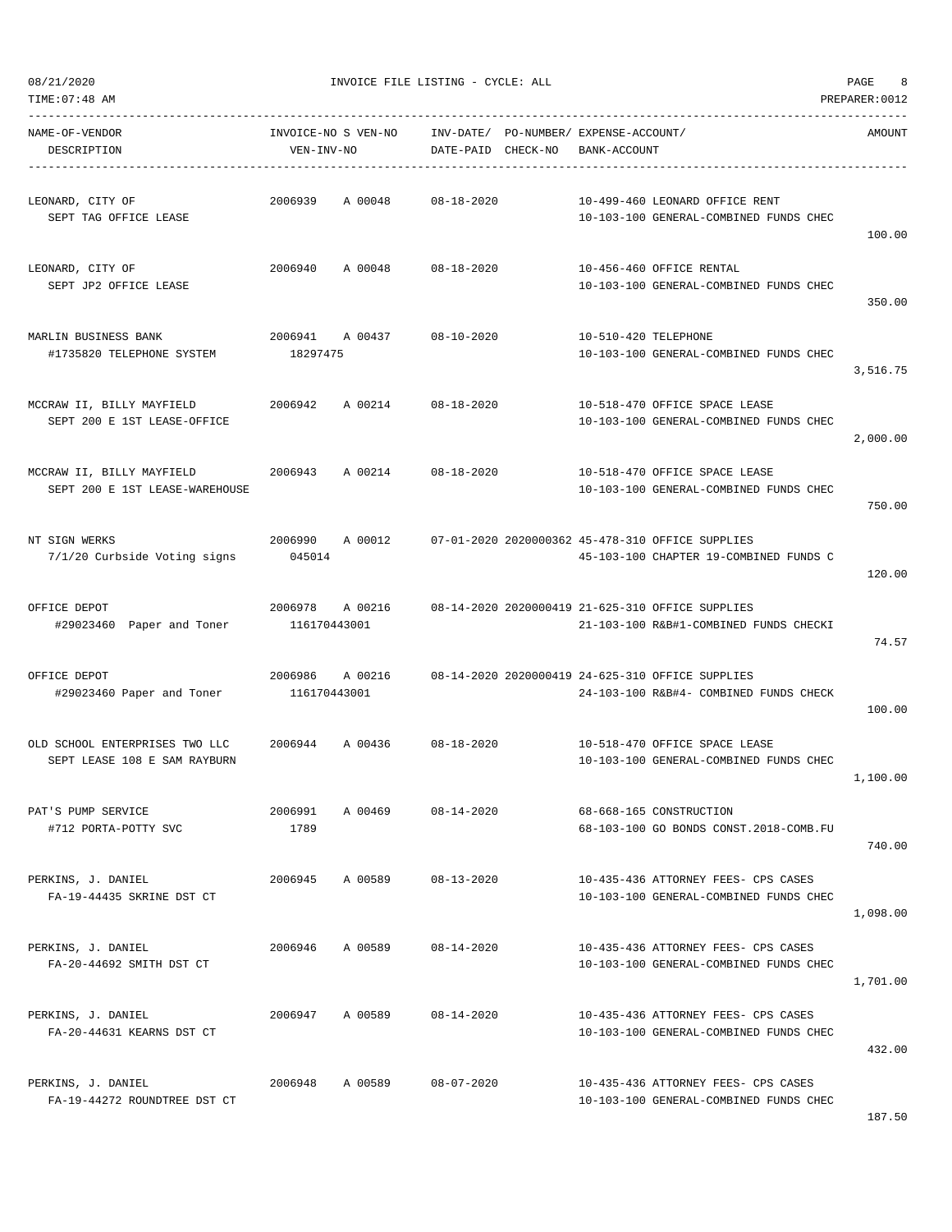| AMOUNT   | PO-NUMBER/ EXPENSE-ACCOUNT/<br>BANK-ACCOUNT | INV-DATE/<br>DATE-PAID CHECK-NO | INVOICE-NO S VEN-NO | VEN-INV-NO | NAME-OF-VENDOR<br>DESCRIPTION |
|----------|---------------------------------------------|---------------------------------|---------------------|------------|-------------------------------|
|          |                                             |                                 |                     |            |                               |
|          | 10-499-460 LEONARD OFFICE RENT              | $08 - 18 - 2020$                | 2006939 A 00048     |            | LEONARD, CITY OF              |
|          | 10-103-100 GENERAL-COMBINED FUNDS CHEC      |                                 |                     |            | SEPT TAG OFFICE LEASE         |
| 100.00   |                                             |                                 |                     |            |                               |
|          | 10-456-460 OFFICE RENTAL                    | $08 - 18 - 2020$                | 2006940 A 00048     |            | LEONARD, CITY OF              |
|          | 10-103-100 GENERAL-COMBINED FUNDS CHEC      |                                 |                     |            | SEPT JP2 OFFICE LEASE         |
| 350.00   |                                             |                                 |                     |            |                               |
|          | 10-510-420 TELEPHONE                        | $08 - 10 - 2020$                | 2006941 A 00437     |            | MARLIN BUSINESS BANK          |
|          | 10-103-100 GENERAL-COMBINED FUNDS CHEC      |                                 |                     | 18297475   | #1735820 TELEPHONE SYSTEM     |
| 3,516.75 |                                             |                                 |                     |            |                               |

| MCCRAW II, BILLY MAYFIELD      | 2006942 | A 00214 | 08-18-2020                                       | 10-518-470 OFFICE SPACE LEASE          |          |
|--------------------------------|---------|---------|--------------------------------------------------|----------------------------------------|----------|
| SEPT 200 E 1ST LEASE-OFFICE    |         |         |                                                  | 10-103-100 GENERAL-COMBINED FUNDS CHEC |          |
|                                |         |         |                                                  |                                        | 2,000.00 |
|                                |         |         |                                                  |                                        |          |
| MCCRAW II, BILLY MAYFIELD      | 2006943 | A 00214 | $08 - 18 - 2020$                                 | 10-518-470 OFFICE SPACE LEASE          |          |
| SEPT 200 E 1ST LEASE-WAREHOUSE |         |         |                                                  | 10-103-100 GENERAL-COMBINED FUNDS CHEC |          |
|                                |         |         |                                                  |                                        | 750.00   |
|                                |         |         |                                                  |                                        |          |
| NT SIGN WERKS                  | 2006990 | A 00012 | 07-01-2020 2020000362 45-478-310 OFFICE SUPPLIES |                                        |          |
| 7/1/20 Curbside Voting signs   | 045014  |         |                                                  | 45-103-100 CHAPTER 19-COMBINED FUNDS C |          |

| OFFICE DEPOT                              | #29023460 Paper and Toner | 2006978<br>116170443001 | A 00216 | 08-14-2020 2020000419 21-625-310 OFFICE SUPPLIES | 21-103-100 R&B#1-COMBINED FUNDS CHECKI |  |                 |
|-------------------------------------------|---------------------------|-------------------------|---------|--------------------------------------------------|----------------------------------------|--|-----------------|
| OFFICE DEPOT<br>#29023460 Paper and Toner |                           | 2006986<br>116170443001 | A 00216 | 08-14-2020 2020000419 24-625-310 OFFICE SUPPLIES | 24-103-100 R&B#4- COMBINED FUNDS CHECK |  | 74.57<br>100.00 |

| OLD SCHOOL ENTERPRISES TWO LLC | 2006944 | A 00436 | $08 - 18 - 2020$ | 10-518-470 OFFICE SPACE LEASE          |          |
|--------------------------------|---------|---------|------------------|----------------------------------------|----------|
| SEPT LEASE 108 E SAM RAYBURN   |         |         |                  | 10-103-100 GENERAL-COMBINED FUNDS CHEC |          |
|                                |         |         |                  |                                        | 1,100.00 |
| PAT'S PUMP SERVICE             | 2006991 | A 00469 | 08-14-2020       | 68-668-165 CONSTRUCTION                |          |
|                                |         |         |                  |                                        |          |
| #712 PORTA-POTTY SVC           | 1789    |         |                  | 68-103-100 GO BONDS CONST.2018-COMB.FU |          |
|                                |         |         |                  |                                        | 740.00   |
|                                |         |         |                  |                                        |          |
| PERKINS, J. DANIEL             | 2006945 | A 00589 | $08 - 13 - 2020$ | 10-435-436 ATTORNEY FEES- CPS CASES    |          |
| FA-19-44435 SKRINE DST CT      |         |         |                  | 10-103-100 GENERAL-COMBINED FUNDS CHEC |          |
|                                |         |         |                  |                                        | 1,098.00 |
|                                |         |         |                  |                                        |          |
| PERKINS, J. DANIEL             | 2006946 | A 00589 | 08-14-2020       | 10-435-436 ATTORNEY FEES- CPS CASES    |          |
| FA-20-44692 SMITH DST CT       |         |         |                  | 10-103-100 GENERAL-COMBINED FUNDS CHEC |          |
|                                |         |         |                  |                                        | 1,701.00 |
|                                |         |         |                  |                                        |          |
| PERKINS, J. DANIEL             | 2006947 | A 00589 | $08 - 14 - 2020$ | 10-435-436 ATTORNEY FEES- CPS CASES    |          |
| FA-20-44631 KEARNS DST CT      |         |         |                  | 10-103-100 GENERAL-COMBINED FUNDS CHEC |          |
|                                |         |         |                  |                                        | 432.00   |

PERKINS, J. DANIEL 2006948 A 00589 08-07-2020 10-435-436 ATTORNEY FEES- CPS CASES FA-19-44272 ROUNDTREE DST CT 10-103-100 GENERAL-COMBINED FUNDS CHEC

187.50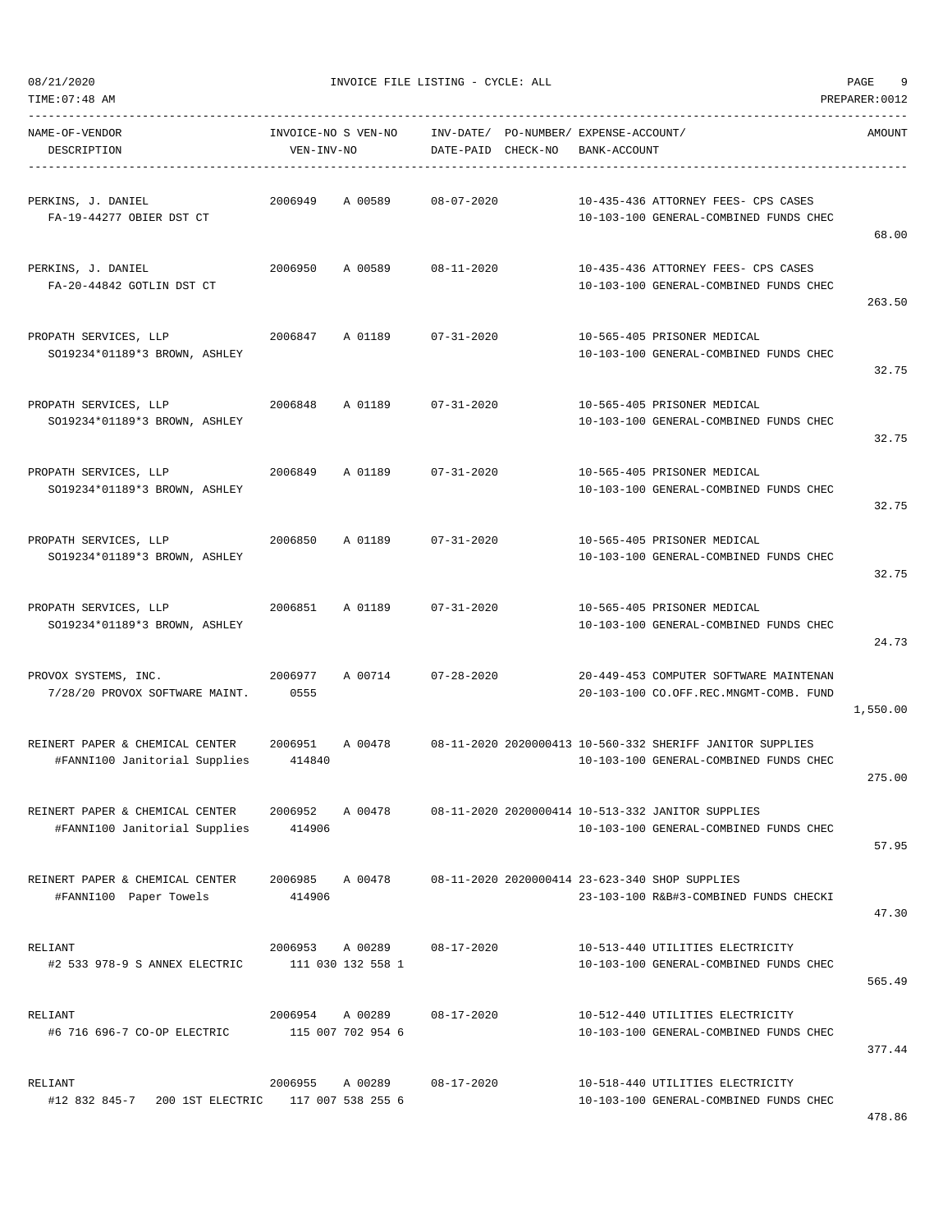| 08/21/2020                          |                                   | INVOICE FILE LISTING - CYCLE: ALL |                                                             | PAGE<br>9    |                                                           |                |
|-------------------------------------|-----------------------------------|-----------------------------------|-------------------------------------------------------------|--------------|-----------------------------------------------------------|----------------|
| TIME: 07:48 AM                      |                                   |                                   |                                                             |              |                                                           | PREPARER: 0012 |
| NAME-OF-VENDOR<br>DESCRIPTION       | INVOICE-NO S VEN-NO<br>VEN-INV-NO |                                   | INV-DATE/ PO-NUMBER/ EXPENSE-ACCOUNT/<br>DATE-PAID CHECK-NO | BANK-ACCOUNT |                                                           | AMOUNT         |
|                                     |                                   |                                   |                                                             |              |                                                           |                |
| PERKINS, J. DANIEL                  | 2006949                           | A 00589                           | 08-07-2020                                                  |              | 10-435-436 ATTORNEY FEES- CPS CASES                       |                |
| FA-19-44277 OBIER DST CT            |                                   |                                   |                                                             |              | 10-103-100 GENERAL-COMBINED FUNDS CHEC                    | 68.00          |
| PERKINS, J. DANIEL                  | 2006950                           | A 00589                           | 08-11-2020                                                  |              | 10-435-436 ATTORNEY FEES- CPS CASES                       |                |
| FA-20-44842 GOTLIN DST CT           |                                   |                                   |                                                             |              | 10-103-100 GENERAL-COMBINED FUNDS CHEC                    |                |
|                                     |                                   |                                   |                                                             |              |                                                           | 263.50         |
| PROPATH SERVICES, LLP               | 2006847                           | A 01189                           | $07 - 31 - 2020$                                            |              | 10-565-405 PRISONER MEDICAL                               |                |
| SO19234*01189*3 BROWN, ASHLEY       |                                   |                                   |                                                             |              | 10-103-100 GENERAL-COMBINED FUNDS CHEC                    |                |
|                                     |                                   |                                   |                                                             |              |                                                           | 32.75          |
| PROPATH SERVICES, LLP               | 2006848                           | A 01189                           | $07 - 31 - 2020$                                            |              | 10-565-405 PRISONER MEDICAL                               |                |
| SO19234*01189*3 BROWN, ASHLEY       |                                   |                                   |                                                             |              | 10-103-100 GENERAL-COMBINED FUNDS CHEC                    |                |
|                                     |                                   |                                   |                                                             |              |                                                           | 32.75          |
| PROPATH SERVICES, LLP               | 2006849                           | A 01189                           | 07-31-2020                                                  |              | 10-565-405 PRISONER MEDICAL                               |                |
| SO19234*01189*3 BROWN, ASHLEY       |                                   |                                   |                                                             |              | 10-103-100 GENERAL-COMBINED FUNDS CHEC                    |                |
|                                     |                                   |                                   |                                                             |              |                                                           | 32.75          |
| PROPATH SERVICES, LLP               | 2006850                           | A 01189                           | $07 - 31 - 2020$                                            |              | 10-565-405 PRISONER MEDICAL                               |                |
| SO19234*01189*3 BROWN, ASHLEY       |                                   |                                   |                                                             |              | 10-103-100 GENERAL-COMBINED FUNDS CHEC                    |                |
|                                     |                                   |                                   |                                                             |              |                                                           | 32.75          |
| PROPATH SERVICES, LLP               | 2006851                           | A 01189                           | $07 - 31 - 2020$                                            |              | 10-565-405 PRISONER MEDICAL                               |                |
| SO19234*01189*3 BROWN, ASHLEY       |                                   |                                   |                                                             |              | 10-103-100 GENERAL-COMBINED FUNDS CHEC                    |                |
|                                     |                                   |                                   |                                                             |              |                                                           | 24.73          |
| PROVOX SYSTEMS, INC.                | 2006977                           | A 00714                           | $07 - 28 - 2020$                                            |              | 20-449-453 COMPUTER SOFTWARE MAINTENAN                    |                |
| 7/28/20 PROVOX SOFTWARE MAINT. 0555 |                                   |                                   |                                                             |              | 20-103-100 CO.OFF.REC.MNGMT-COMB. FUND                    |                |
|                                     |                                   |                                   |                                                             |              |                                                           | 1,550.00       |
| REINERT PAPER & CHEMICAL CENTER     | 2006951                           | A 00478                           |                                                             |              | 08-11-2020 2020000413 10-560-332 SHERIFF JANITOR SUPPLIES |                |
| #FANNI100 Janitorial Supplies       | 414840                            |                                   |                                                             |              | 10-103-100 GENERAL-COMBINED FUNDS CHEC                    |                |
|                                     |                                   |                                   |                                                             |              |                                                           | 275.00         |
| REINERT PAPER & CHEMICAL CENTER     | 2006952                           | A 00478                           |                                                             |              | 08-11-2020 2020000414 10-513-332 JANITOR SUPPLIES         |                |
| #FANNI100 Janitorial Supplies       | 414906                            |                                   |                                                             |              | 10-103-100 GENERAL-COMBINED FUNDS CHEC                    |                |
|                                     |                                   |                                   |                                                             |              |                                                           | 57.95          |
| REINERT PAPER & CHEMICAL CENTER     | 2006985                           | A 00478                           |                                                             |              | 08-11-2020 2020000414 23-623-340 SHOP SUPPLIES            |                |
| #FANNI100 Paper Towels              | 414906                            |                                   |                                                             |              | 23-103-100 R&B#3-COMBINED FUNDS CHECKI                    |                |
|                                     |                                   |                                   |                                                             |              |                                                           | 47.30          |
| RELIANT                             | 2006953 A 00289                   |                                   | 08-17-2020                                                  |              | 10-513-440 UTILITIES ELECTRICITY                          |                |
| #2 533 978-9 S ANNEX ELECTRIC       |                                   | 111 030 132 558 1                 |                                                             |              | 10-103-100 GENERAL-COMBINED FUNDS CHEC                    |                |
|                                     |                                   |                                   |                                                             |              |                                                           | 565.49         |
| RELIANT                             | 2006954 A 00289                   |                                   | $08 - 17 - 2020$                                            |              | 10-512-440 UTILITIES ELECTRICITY                          |                |
| #6 716 696-7 CO-OP ELECTRIC         |                                   | 115 007 702 954 6                 |                                                             |              | 10-103-100 GENERAL-COMBINED FUNDS CHEC                    |                |
|                                     |                                   |                                   |                                                             |              |                                                           | 377.44         |
| RELIANT                             | 2006955                           | A 00289                           | 08-17-2020                                                  |              | 10-518-440 UTILITIES ELECTRICITY                          |                |
| #12 832 845-7 200 1ST ELECTRIC      |                                   | 117 007 538 255 6                 |                                                             |              | 10-103-100 GENERAL-COMBINED FUNDS CHEC                    |                |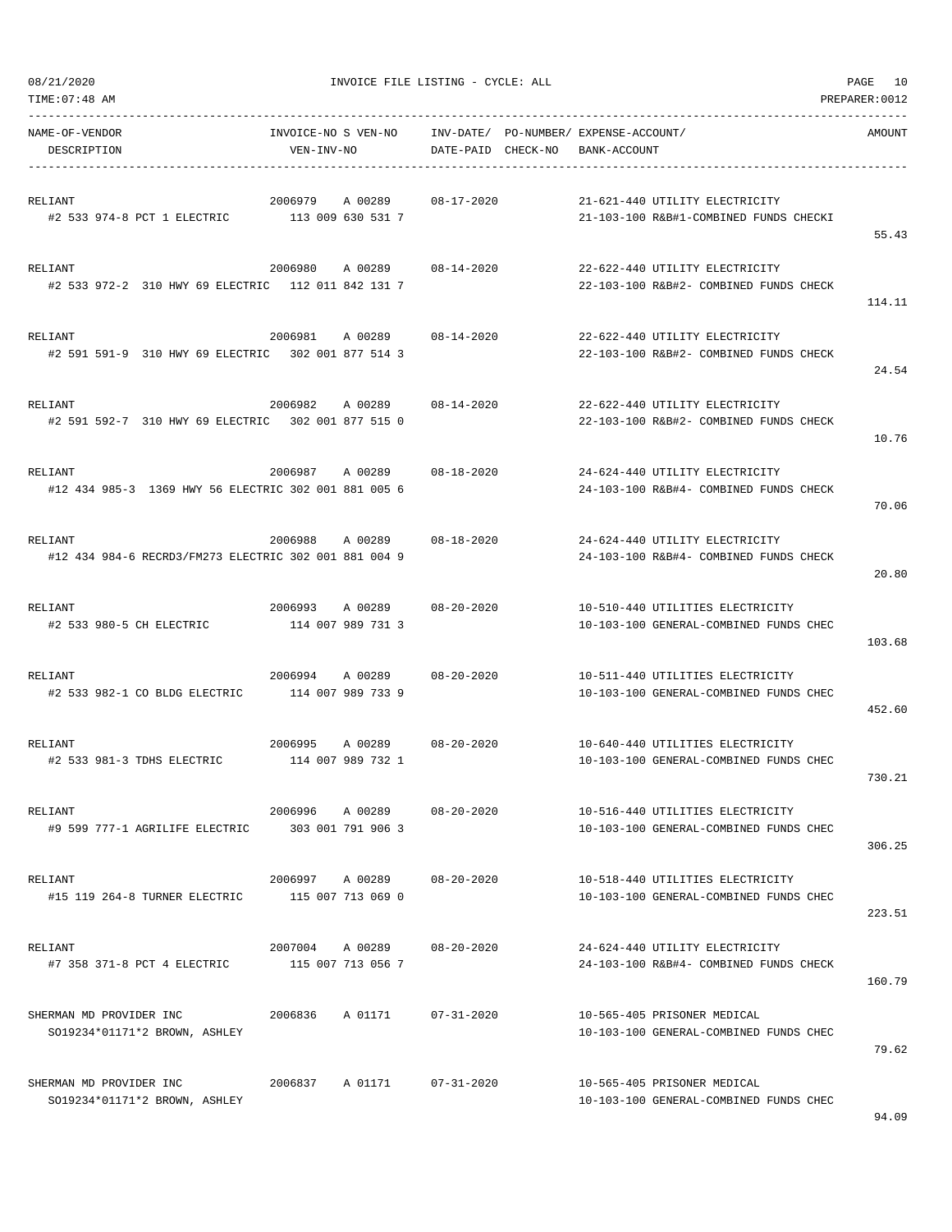| NAME-OF-VENDOR<br>DESCRIPTION                                    | VEN-INV-NO                           | INVOICE-NO S VEN-NO        | DATE-PAID CHECK-NO | INV-DATE/ PO-NUMBER/ EXPENSE-ACCOUNT/<br>BANK-ACCOUNT                      | AMOUNT |
|------------------------------------------------------------------|--------------------------------------|----------------------------|--------------------|----------------------------------------------------------------------------|--------|
| RELIANT                                                          | 2006979                              | A 00289                    | $08 - 17 - 2020$   | 21-621-440 UTILITY ELECTRICITY                                             |        |
| #2 533 974-8 PCT 1 ELECTRIC                                      | 113 009 630 531 7                    |                            |                    | 21-103-100 R&B#1-COMBINED FUNDS CHECKI                                     | 55.43  |
| RELIANT                                                          | 2006980                              | A 00289 08-14-2020         |                    | 22-622-440 UTILITY ELECTRICITY                                             |        |
| #2 533 972-2 310 HWY 69 ELECTRIC 112 011 842 131 7               |                                      |                            |                    | 22-103-100 R&B#2- COMBINED FUNDS CHECK                                     | 114.11 |
| RELIANT                                                          | 2006981                              | A 00289                    | $08 - 14 - 2020$   | 22-622-440 UTILITY ELECTRICITY                                             |        |
| #2 591 591-9 310 HWY 69 ELECTRIC 302 001 877 514 3               |                                      |                            |                    | 22-103-100 R&B#2- COMBINED FUNDS CHECK                                     | 24.54  |
| RELIANT                                                          | 2006982                              | A 00289                    | 08-14-2020         | 22-622-440 UTILITY ELECTRICITY                                             |        |
| #2 591 592-7 310 HWY 69 ELECTRIC 302 001 877 515 0               |                                      |                            |                    | 22-103-100 R&B#2- COMBINED FUNDS CHECK                                     | 10.76  |
| RELIANT                                                          | 2006987 A 00289                      |                            | 08-18-2020         | 24-624-440 UTILITY ELECTRICITY                                             |        |
| #12 434 985-3 1369 HWY 56 ELECTRIC 302 001 881 005 6             |                                      |                            |                    | 24-103-100 R&B#4- COMBINED FUNDS CHECK                                     | 70.06  |
| RELIANT<br>#12 434 984-6 RECRD3/FM273 ELECTRIC 302 001 881 004 9 |                                      | 2006988 A 00289 08-18-2020 |                    | 24-624-440 UTILITY ELECTRICITY<br>24-103-100 R&B#4- COMBINED FUNDS CHECK   |        |
|                                                                  |                                      |                            |                    |                                                                            | 20.80  |
| RELIANT<br>#2 533 980-5 CH ELECTRIC                              | 114 007 989 731 3                    | 2006993 A 00289 08-20-2020 |                    | 10-510-440 UTILITIES ELECTRICITY<br>10-103-100 GENERAL-COMBINED FUNDS CHEC |        |
|                                                                  |                                      |                            |                    |                                                                            | 103.68 |
| RELIANT<br>#2 533 982-1 CO BLDG ELECTRIC 114 007 989 733 9       | 2006994 A 00289                      |                            | 08-20-2020         | 10-511-440 UTILITIES ELECTRICITY<br>10-103-100 GENERAL-COMBINED FUNDS CHEC |        |
|                                                                  |                                      |                            |                    |                                                                            | 452.60 |
| RELIANT<br>#2 533 981-3 TDHS ELECTRIC                            | 114 007 989 732 1                    | 2006995 A 00289 08-20-2020 |                    | 10-640-440 UTILITIES ELECTRICITY<br>10-103-100 GENERAL-COMBINED FUNDS CHEC |        |
|                                                                  |                                      |                            |                    |                                                                            | 730.21 |
| RELIANT<br>#9 599 777-1 AGRILIFE ELECTRIC 303 001 791 906 3      |                                      | 2006996 A 00289 08-20-2020 |                    | 10-516-440 UTILITIES ELECTRICITY<br>10-103-100 GENERAL-COMBINED FUNDS CHEC |        |
|                                                                  |                                      |                            |                    |                                                                            | 306.25 |
| RELIANT<br>#15 119 264-8 TURNER ELECTRIC                         | 2006997 A 00289<br>115 007 713 069 0 |                            | 08-20-2020         | 10-518-440 UTILITIES ELECTRICITY<br>10-103-100 GENERAL-COMBINED FUNDS CHEC |        |
|                                                                  |                                      |                            |                    |                                                                            | 223.51 |
| RELIANT<br>#7 358 371-8 PCT 4 ELECTRIC                           | 2007004 A 00289                      | 115 007 713 056 7          | 08-20-2020         | 24-624-440 UTILITY ELECTRICITY<br>24-103-100 R&B#4- COMBINED FUNDS CHECK   |        |
|                                                                  |                                      |                            |                    |                                                                            | 160.79 |
| SHERMAN MD PROVIDER INC<br>SO19234*01171*2 BROWN, ASHLEY         | 2006836                              | A 01171                    | $07 - 31 - 2020$   | 10-565-405 PRISONER MEDICAL<br>10-103-100 GENERAL-COMBINED FUNDS CHEC      |        |
|                                                                  |                                      |                            |                    |                                                                            | 79.62  |
| SHERMAN MD PROVIDER INC<br>SO19234*01171*2 BROWN, ASHLEY         |                                      | 2006837 A 01171            | $07 - 31 - 2020$   | 10-565-405 PRISONER MEDICAL<br>10-103-100 GENERAL-COMBINED FUNDS CHEC      |        |

-----------------------------------------------------------------------------------------------------------------------------------

TIME:07:48 AM PREPARER:0012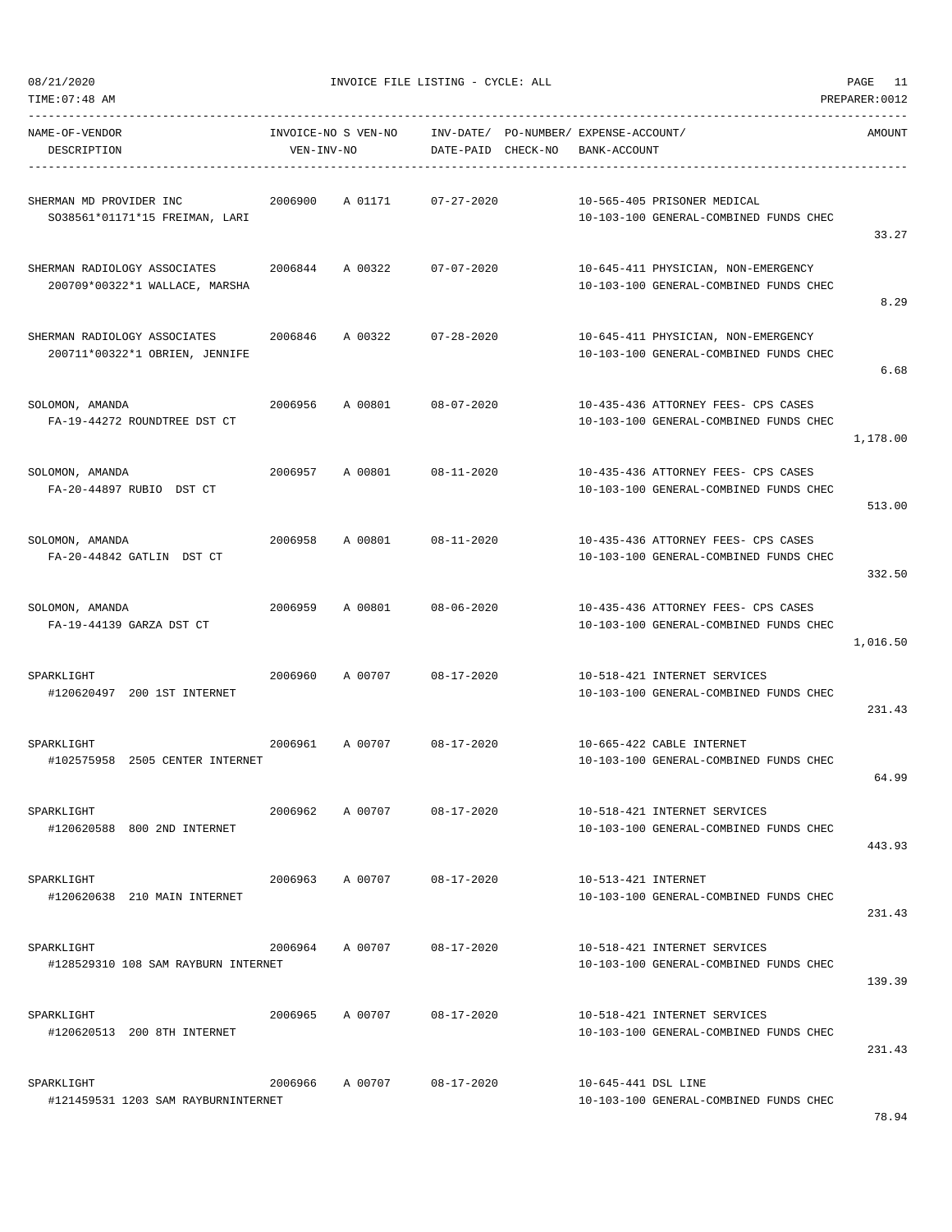| TIME: 07:48 AM                                                 |                                   |         |                    |                                                       |                                                                               | PREPARER: 0012 |
|----------------------------------------------------------------|-----------------------------------|---------|--------------------|-------------------------------------------------------|-------------------------------------------------------------------------------|----------------|
| NAME-OF-VENDOR<br>DESCRIPTION                                  | INVOICE-NO S VEN-NO<br>VEN-INV-NO |         | DATE-PAID CHECK-NO | INV-DATE/ PO-NUMBER/ EXPENSE-ACCOUNT/<br>BANK-ACCOUNT |                                                                               | AMOUNT         |
| SHERMAN MD PROVIDER INC<br>SO38561*01171*15 FREIMAN, LARI      | 2006900                           | A 01171 | $07 - 27 - 2020$   |                                                       | 10-565-405 PRISONER MEDICAL<br>10-103-100 GENERAL-COMBINED FUNDS CHEC         | 33.27          |
| SHERMAN RADIOLOGY ASSOCIATES<br>200709*00322*1 WALLACE, MARSHA | 2006844                           | A 00322 | $07 - 07 - 2020$   |                                                       | 10-645-411 PHYSICIAN, NON-EMERGENCY<br>10-103-100 GENERAL-COMBINED FUNDS CHEC | 8.29           |
| SHERMAN RADIOLOGY ASSOCIATES<br>200711*00322*1 OBRIEN, JENNIFE | 2006846                           | A 00322 | $07 - 28 - 2020$   |                                                       | 10-645-411 PHYSICIAN, NON-EMERGENCY<br>10-103-100 GENERAL-COMBINED FUNDS CHEC | 6.68           |
| SOLOMON, AMANDA<br>FA-19-44272 ROUNDTREE DST CT                | 2006956                           | A 00801 | $08 - 07 - 2020$   |                                                       | 10-435-436 ATTORNEY FEES- CPS CASES<br>10-103-100 GENERAL-COMBINED FUNDS CHEC | 1,178.00       |
| SOLOMON, AMANDA<br>FA-20-44897 RUBIO DST CT                    | 2006957                           | A 00801 | $08 - 11 - 2020$   |                                                       | 10-435-436 ATTORNEY FEES- CPS CASES<br>10-103-100 GENERAL-COMBINED FUNDS CHEC | 513.00         |
| SOLOMON, AMANDA<br>FA-20-44842 GATLIN DST CT                   | 2006958                           | A 00801 | $08 - 11 - 2020$   |                                                       | 10-435-436 ATTORNEY FEES- CPS CASES<br>10-103-100 GENERAL-COMBINED FUNDS CHEC | 332.50         |
| SOLOMON, AMANDA<br>FA-19-44139 GARZA DST CT                    | 2006959                           | A 00801 | 08-06-2020         |                                                       | 10-435-436 ATTORNEY FEES- CPS CASES<br>10-103-100 GENERAL-COMBINED FUNDS CHEC | 1,016.50       |
| SPARKLIGHT<br>#120620497 200 1ST INTERNET                      | 2006960                           | A 00707 | $08 - 17 - 2020$   |                                                       | 10-518-421 INTERNET SERVICES<br>10-103-100 GENERAL-COMBINED FUNDS CHEC        | 231.43         |
| SPARKLIGHT<br>#102575958 2505 CENTER INTERNET                  | 2006961                           | A 00707 | $08 - 17 - 2020$   |                                                       | 10-665-422 CABLE INTERNET<br>10-103-100 GENERAL-COMBINED FUNDS CHEC           | 64.99          |
| SPARKLIGHT<br>#120620588 800 2ND INTERNET                      | 2006962                           | A 00707 | $08 - 17 - 2020$   |                                                       | 10-518-421 INTERNET SERVICES<br>10-103-100 GENERAL-COMBINED FUNDS CHEC        | 443.93         |
| SPARKLIGHT<br>#120620638 210 MAIN INTERNET                     | 2006963                           | A 00707 | $08 - 17 - 2020$   | 10-513-421 INTERNET                                   | 10-103-100 GENERAL-COMBINED FUNDS CHEC                                        | 231.43         |
| SPARKLIGHT<br>#128529310 108 SAM RAYBURN INTERNET              | 2006964                           | A 00707 | $08 - 17 - 2020$   |                                                       | 10-518-421 INTERNET SERVICES<br>10-103-100 GENERAL-COMBINED FUNDS CHEC        | 139.39         |
| SPARKLIGHT<br>#120620513 200 8TH INTERNET                      | 2006965                           | A 00707 | $08 - 17 - 2020$   |                                                       | 10-518-421 INTERNET SERVICES<br>10-103-100 GENERAL-COMBINED FUNDS CHEC        | 231.43         |
| SPARKLIGHT<br>#121459531 1203 SAM RAYBURNINTERNET              | 2006966                           | A 00707 | $08 - 17 - 2020$   | 10-645-441 DSL LINE                                   | 10-103-100 GENERAL-COMBINED FUNDS CHEC                                        |                |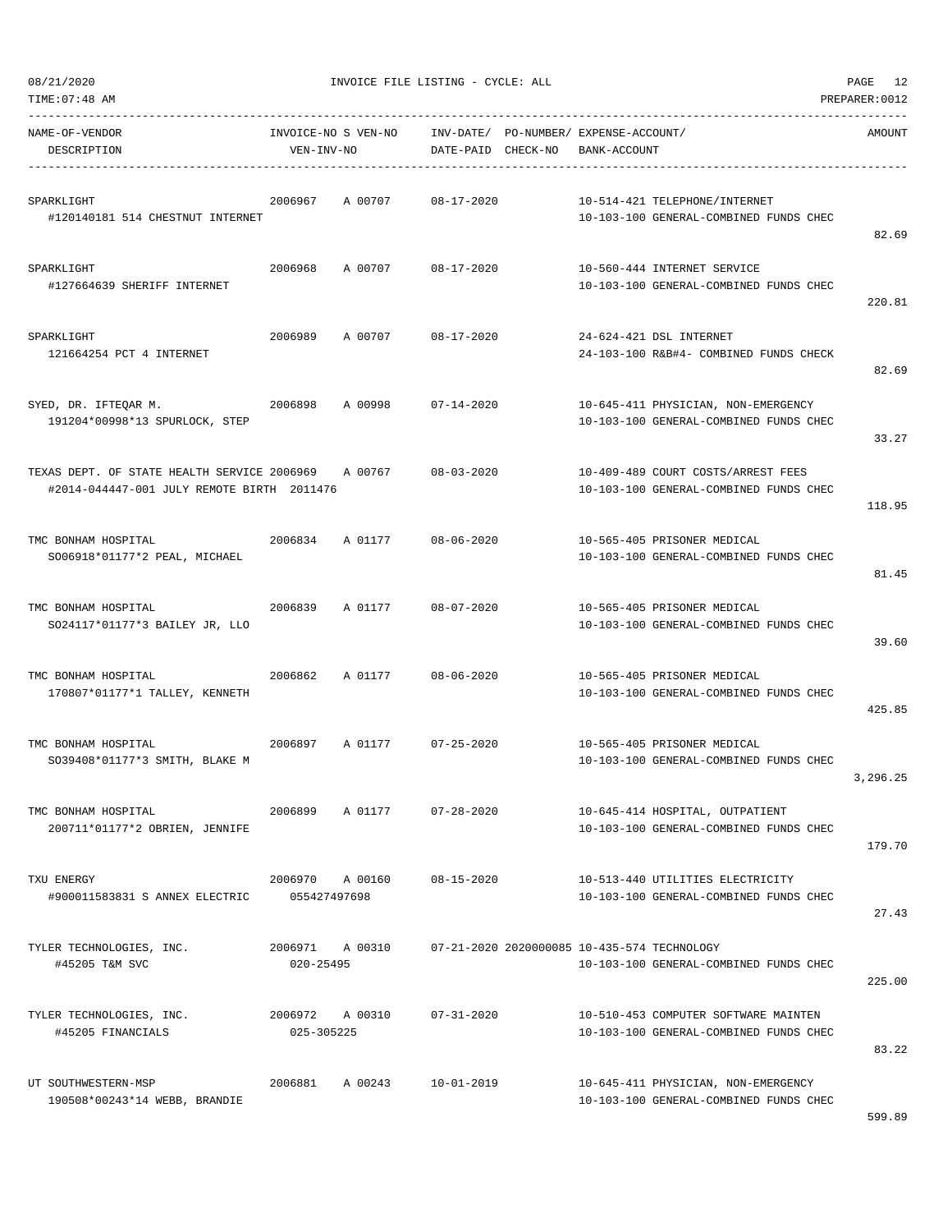|  | 08/21/2020 |
|--|------------|
|  |            |

| TIME: 07:48 AM                                                                            |                                   |         |                                 |                                             |                                                                              | PREPARER: 0012 |
|-------------------------------------------------------------------------------------------|-----------------------------------|---------|---------------------------------|---------------------------------------------|------------------------------------------------------------------------------|----------------|
| NAME-OF-VENDOR<br>DESCRIPTION                                                             | INVOICE-NO S VEN-NO<br>VEN-INV-NO |         | INV-DATE/<br>DATE-PAID CHECK-NO | PO-NUMBER/ EXPENSE-ACCOUNT/<br>BANK-ACCOUNT |                                                                              | AMOUNT         |
|                                                                                           |                                   |         |                                 |                                             |                                                                              |                |
| SPARKLIGHT                                                                                | 2006967                           | A 00707 | $08 - 17 - 2020$                |                                             | 10-514-421 TELEPHONE/INTERNET                                                |                |
| #120140181 514 CHESTNUT INTERNET                                                          |                                   |         |                                 |                                             | 10-103-100 GENERAL-COMBINED FUNDS CHEC                                       | 82.69          |
|                                                                                           |                                   | A 00707 |                                 |                                             | 10-560-444 INTERNET SERVICE                                                  |                |
| SPARKLIGHT<br>#127664639 SHERIFF INTERNET                                                 | 2006968                           |         | 08-17-2020                      |                                             | 10-103-100 GENERAL-COMBINED FUNDS CHEC                                       |                |
|                                                                                           |                                   |         |                                 |                                             |                                                                              | 220.81         |
| SPARKLIGHT                                                                                | 2006989                           | A 00707 | $08 - 17 - 2020$                |                                             | 24-624-421 DSL INTERNET                                                      |                |
| 121664254 PCT 4 INTERNET                                                                  |                                   |         |                                 |                                             | 24-103-100 R&B#4- COMBINED FUNDS CHECK                                       |                |
|                                                                                           |                                   |         |                                 |                                             |                                                                              | 82.69          |
| SYED, DR. IFTEQAR M.                                                                      | 2006898                           | A 00998 | $07 - 14 - 2020$                |                                             | 10-645-411 PHYSICIAN, NON-EMERGENCY                                          |                |
| 191204*00998*13 SPURLOCK, STEP                                                            |                                   |         |                                 |                                             | 10-103-100 GENERAL-COMBINED FUNDS CHEC                                       | 33.27          |
|                                                                                           |                                   |         |                                 |                                             |                                                                              |                |
| TEXAS DEPT. OF STATE HEALTH SERVICE 2006969<br>#2014-044447-001 JULY REMOTE BIRTH 2011476 |                                   | A 00767 | $08 - 03 - 2020$                |                                             | 10-409-489 COURT COSTS/ARREST FEES<br>10-103-100 GENERAL-COMBINED FUNDS CHEC |                |
|                                                                                           |                                   |         |                                 |                                             |                                                                              | 118.95         |
|                                                                                           |                                   |         |                                 |                                             |                                                                              |                |
| TMC BONHAM HOSPITAL<br>SO06918*01177*2 PEAL, MICHAEL                                      | 2006834                           | A 01177 | $08 - 06 - 2020$                |                                             | 10-565-405 PRISONER MEDICAL<br>10-103-100 GENERAL-COMBINED FUNDS CHEC        |                |
|                                                                                           |                                   |         |                                 |                                             |                                                                              | 81.45          |
| TMC BONHAM HOSPITAL                                                                       | 2006839                           | A 01177 | $08 - 07 - 2020$                |                                             | 10-565-405 PRISONER MEDICAL                                                  |                |
| SO24117*01177*3 BAILEY JR, LLO                                                            |                                   |         |                                 |                                             | 10-103-100 GENERAL-COMBINED FUNDS CHEC                                       |                |
|                                                                                           |                                   |         |                                 |                                             |                                                                              | 39.60          |
| TMC BONHAM HOSPITAL                                                                       | 2006862                           | A 01177 | $08 - 06 - 2020$                |                                             | 10-565-405 PRISONER MEDICAL                                                  |                |
| 170807*01177*1 TALLEY, KENNETH                                                            |                                   |         |                                 |                                             | 10-103-100 GENERAL-COMBINED FUNDS CHEC                                       |                |
|                                                                                           |                                   |         |                                 |                                             |                                                                              | 425.85         |
| TMC BONHAM HOSPITAL                                                                       | 2006897                           | A 01177 | $07 - 25 - 2020$                |                                             | 10-565-405 PRISONER MEDICAL                                                  |                |
| SO39408*01177*3 SMITH, BLAKE M                                                            |                                   |         |                                 |                                             | 10-103-100 GENERAL-COMBINED FUNDS CHEC                                       | 3,296.25       |
|                                                                                           |                                   |         |                                 |                                             |                                                                              |                |
| TMC BONHAM HOSPITAL                                                                       | 2006899                           | A 01177 | $07 - 28 - 2020$                |                                             | 10-645-414 HOSPITAL, OUTPATIENT                                              |                |
| 200711*01177*2 OBRIEN, JENNIFE                                                            |                                   |         |                                 |                                             | 10-103-100 GENERAL-COMBINED FUNDS CHEC                                       | 179.70         |
|                                                                                           |                                   |         |                                 |                                             |                                                                              |                |
| TXU ENERGY<br>#900011583831 S ANNEX ELECTRIC                                              | 2006970 A 00160<br>055427497698   |         | $08 - 15 - 2020$                |                                             | 10-513-440 UTILITIES ELECTRICITY<br>10-103-100 GENERAL-COMBINED FUNDS CHEC   |                |
|                                                                                           |                                   |         |                                 |                                             |                                                                              | 27.43          |
| TYLER TECHNOLOGIES, INC.                                                                  | 2006971 A 00310                   |         |                                 | 07-21-2020 2020000085 10-435-574 TECHNOLOGY |                                                                              |                |
| #45205 T&M SVC                                                                            | $020 - 25495$                     |         |                                 |                                             | 10-103-100 GENERAL-COMBINED FUNDS CHEC                                       |                |
|                                                                                           |                                   |         |                                 |                                             |                                                                              | 225.00         |
| TYLER TECHNOLOGIES, INC.                                                                  | 2006972 A 00310                   |         | $07 - 31 - 2020$                |                                             | 10-510-453 COMPUTER SOFTWARE MAINTEN                                         |                |
| #45205 FINANCIALS                                                                         | 025-305225                        |         |                                 |                                             | 10-103-100 GENERAL-COMBINED FUNDS CHEC                                       |                |
|                                                                                           |                                   |         |                                 |                                             |                                                                              | 83.22          |
| UT SOUTHWESTERN-MSP                                                                       | 2006881                           | A 00243 | $10 - 01 - 2019$                |                                             | 10-645-411 PHYSICIAN, NON-EMERGENCY                                          |                |
| 190508*00243*14 WEBB, BRANDIE                                                             |                                   |         |                                 |                                             | 10-103-100 GENERAL-COMBINED FUNDS CHEC                                       |                |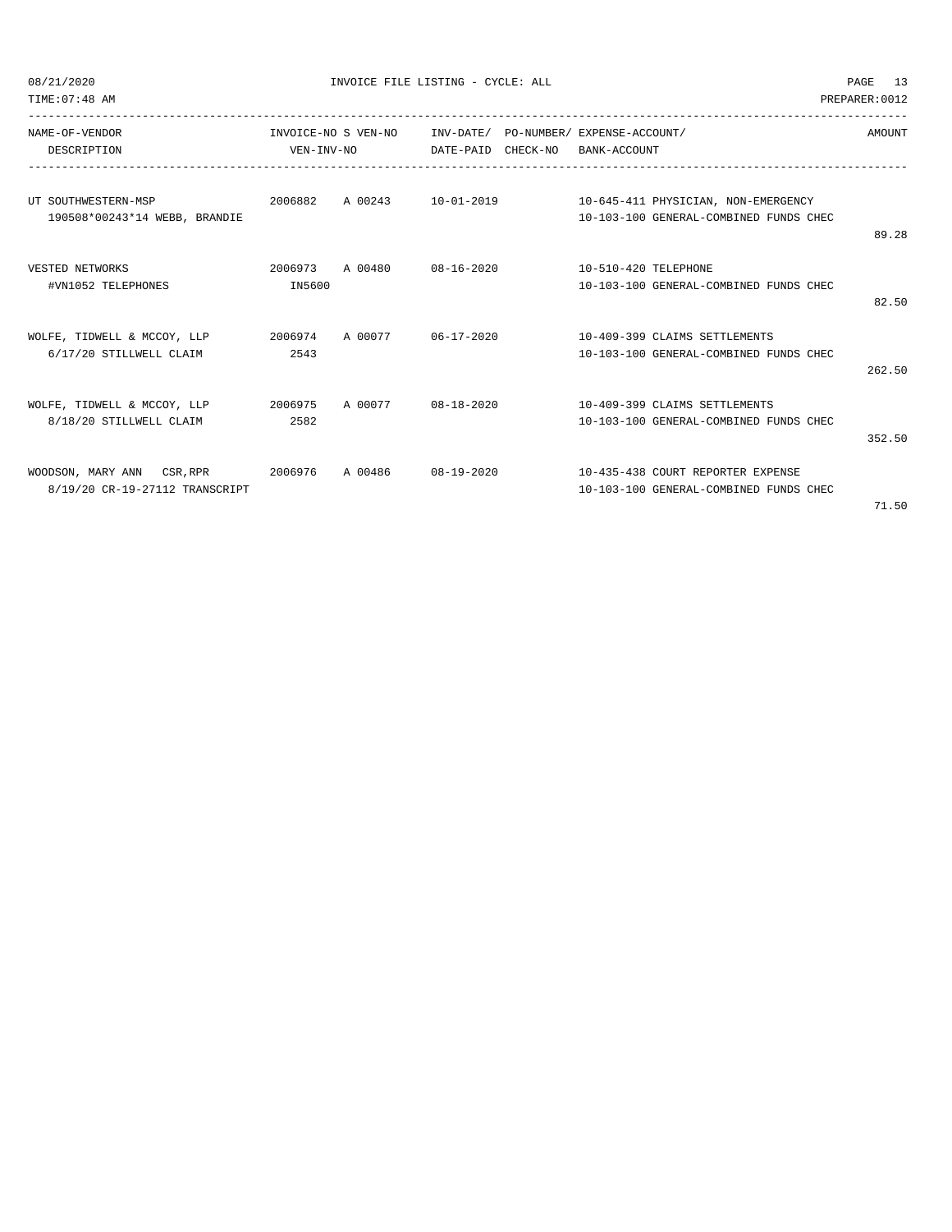| TIME: 07:48 AM                                                  |        |                            |                                       |                      |                                        | PREPARER: 0012 |
|-----------------------------------------------------------------|--------|----------------------------|---------------------------------------|----------------------|----------------------------------------|----------------|
| NAME-OF-VENDOR                                                  |        | INVOICE-NO S VEN-NO        | INV-DATE/ PO-NUMBER/ EXPENSE-ACCOUNT/ |                      |                                        | AMOUNT         |
| DESCRIPTION                                                     |        | VEN-INV-NO                 | DATE-PAID CHECK-NO BANK-ACCOUNT       |                      |                                        |                |
|                                                                 |        |                            |                                       |                      |                                        |                |
| 190508*00243*14 WEBB, BRANDIE                                   |        |                            |                                       |                      | 10-103-100 GENERAL-COMBINED FUNDS CHEC | 89.28          |
|                                                                 |        |                            |                                       |                      |                                        |                |
| VESTED NETWORKS<br>#VN1052 TELEPHONES                           | IN5600 | 2006973 A 00480 08-16-2020 |                                       | 10-510-420 TELEPHONE | 10-103-100 GENERAL-COMBINED FUNDS CHEC |                |
|                                                                 |        |                            |                                       |                      |                                        | 82.50          |
| WOLFE, TIDWELL & MCCOY, LLP 		 2006974 		 A 00077 		 06-17-2020 |        |                            |                                       |                      | 10-409-399 CLAIMS SETTLEMENTS          |                |
| 6/17/20 STILLWELL CLAIM                                         | 2543   |                            |                                       |                      | 10-103-100 GENERAL-COMBINED FUNDS CHEC | 262.50         |
| WOLFE, TIDWELL & MCCOY, LLP 		 2006975 		 A 00077 		 08-18-2020 |        |                            |                                       |                      | 10-409-399 CLAIMS SETTLEMENTS          |                |
| 8/18/20 STILLWELL CLAIM                                         | 2582   |                            |                                       |                      | 10-103-100 GENERAL-COMBINED FUNDS CHEC | 352.50         |
|                                                                 |        |                            |                                       |                      |                                        |                |
| WOODSON, MARY ANN CSR, RPR 2006976 A 00486 08-19-2020           |        |                            |                                       |                      | 10-435-438 COURT REPORTER EXPENSE      |                |
| 8/19/20 CR-19-27112 TRANSCRIPT                                  |        |                            |                                       |                      | 10-103-100 GENERAL-COMBINED FUNDS CHEC | 71.50          |